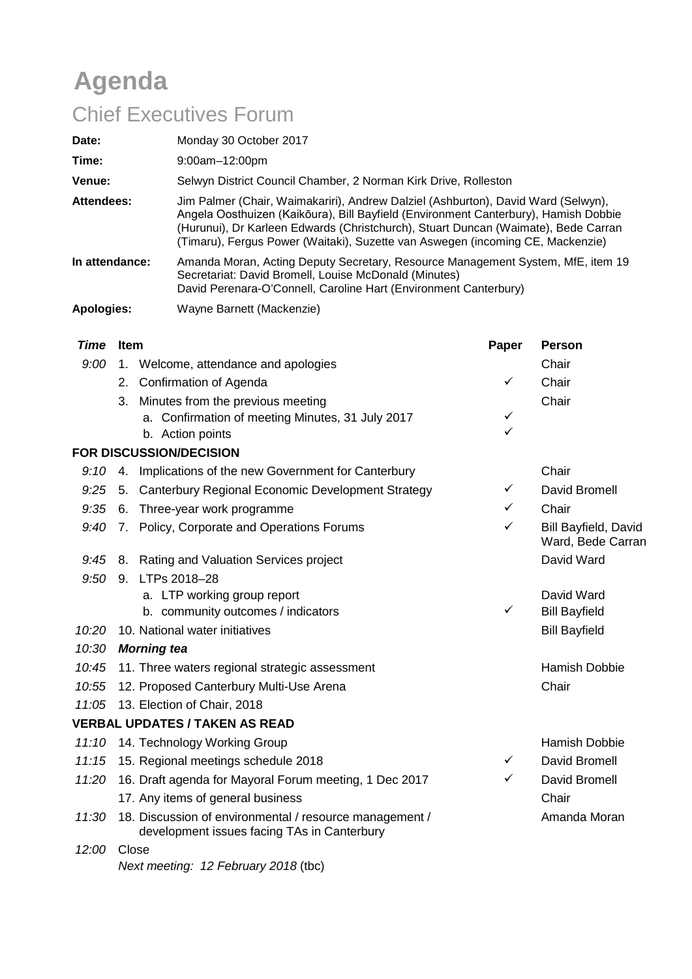# **Agenda**

# Chief Executives Forum

| Date:          | Monday 30 October 2017                                                                                                                                                                                                                                                                                                                           |
|----------------|--------------------------------------------------------------------------------------------------------------------------------------------------------------------------------------------------------------------------------------------------------------------------------------------------------------------------------------------------|
| Time:          | $9:00$ am $-12:00$ pm                                                                                                                                                                                                                                                                                                                            |
| Venue:         | Selwyn District Council Chamber, 2 Norman Kirk Drive, Rolleston                                                                                                                                                                                                                                                                                  |
| Attendees:     | Jim Palmer (Chair, Waimakariri), Andrew Dalziel (Ashburton), David Ward (Selwyn),<br>Angela Oosthuizen (Kaikōura), Bill Bayfield (Environment Canterbury), Hamish Dobbie<br>(Hurunui), Dr Karleen Edwards (Christchurch), Stuart Duncan (Waimate), Bede Carran<br>(Timaru), Fergus Power (Waitaki), Suzette van Aswegen (incoming CE, Mackenzie) |
| In attendance: | Amanda Moran, Acting Deputy Secretary, Resource Management System, MfE, item 19<br>Secretariat: David Bromell, Louise McDonald (Minutes)<br>David Perenara-O'Connell, Caroline Hart (Environment Canterbury)                                                                                                                                     |
| Apologies:     | Wayne Barnett (Mackenzie)                                                                                                                                                                                                                                                                                                                        |

| <b>Time</b> | <b>Item</b>                                                                                            | Paper        | <b>Person</b>                             |
|-------------|--------------------------------------------------------------------------------------------------------|--------------|-------------------------------------------|
| 9:00        | 1. Welcome, attendance and apologies                                                                   |              | Chair                                     |
|             | Confirmation of Agenda<br>2.                                                                           | ✓            | Chair                                     |
|             | Minutes from the previous meeting<br>3.                                                                |              | Chair                                     |
|             | a. Confirmation of meeting Minutes, 31 July 2017                                                       | ✓            |                                           |
|             | b. Action points                                                                                       | ✓            |                                           |
|             | <b>FOR DISCUSSION/DECISION</b>                                                                         |              |                                           |
| 9:10        | 4. Implications of the new Government for Canterbury                                                   |              | Chair                                     |
| 9:25        | 5. Canterbury Regional Economic Development Strategy                                                   | ✓            | David Bromell                             |
| 9:35        | 6. Three-year work programme                                                                           | ✓            | Chair                                     |
| 9:40        | 7. Policy, Corporate and Operations Forums                                                             | ✓            | Bill Bayfield, David<br>Ward, Bede Carran |
| 9:45        | 8. Rating and Valuation Services project                                                               |              | David Ward                                |
| 9:50        | LTPs 2018-28<br>9.                                                                                     |              |                                           |
|             | a. LTP working group report                                                                            |              | David Ward                                |
|             | b. community outcomes / indicators                                                                     | $\checkmark$ | <b>Bill Bayfield</b>                      |
| 10:20       | 10. National water initiatives                                                                         |              | <b>Bill Bayfield</b>                      |
| 10:30       | <b>Morning tea</b>                                                                                     |              |                                           |
| 10:45       | 11. Three waters regional strategic assessment                                                         |              | <b>Hamish Dobbie</b>                      |
| 10:55       | 12. Proposed Canterbury Multi-Use Arena                                                                |              | Chair                                     |
| 11:05       | 13. Election of Chair, 2018                                                                            |              |                                           |
|             | <b>VERBAL UPDATES / TAKEN AS READ</b>                                                                  |              |                                           |
| 11:10       | 14. Technology Working Group                                                                           |              | <b>Hamish Dobbie</b>                      |
| 11:15       | 15. Regional meetings schedule 2018                                                                    | ✓            | David Bromell                             |
| 11:20       | 16. Draft agenda for Mayoral Forum meeting, 1 Dec 2017                                                 | ✓            | David Bromell                             |
|             | 17. Any items of general business                                                                      |              | Chair                                     |
| 11:30       | 18. Discussion of environmental / resource management /<br>development issues facing TAs in Canterbury |              | Amanda Moran                              |
| 12:00       | Close                                                                                                  |              |                                           |

*Next meeting: 12 February 2018* (tbc)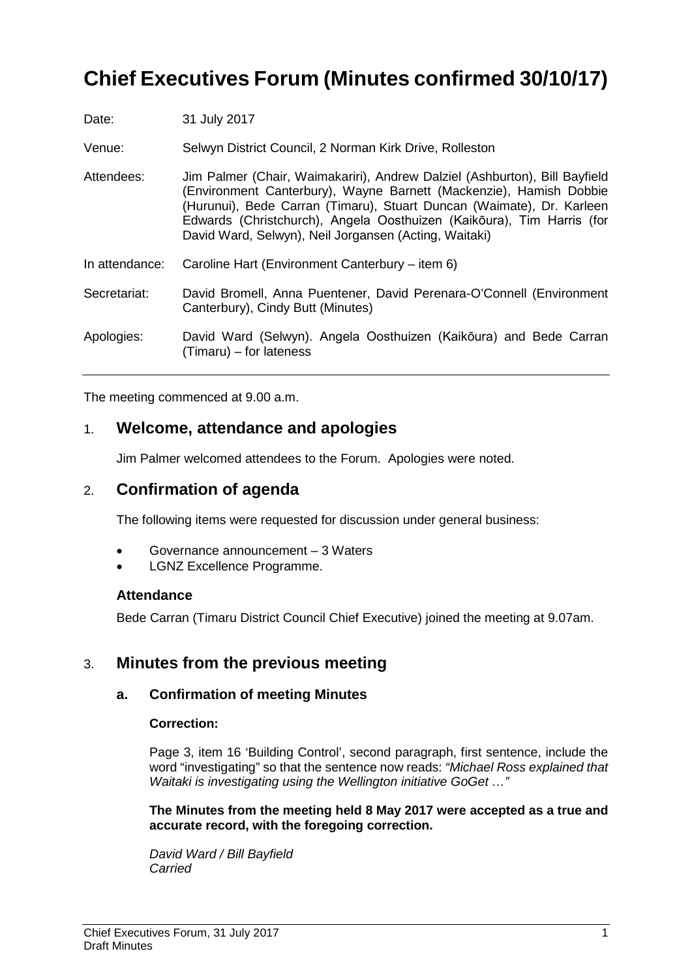## **Chief Executives Forum (Minutes confirmed 30/10/17)**

| Date:          | 31 July 2017                                                                                                                                                                                                                                                                                                                                                |
|----------------|-------------------------------------------------------------------------------------------------------------------------------------------------------------------------------------------------------------------------------------------------------------------------------------------------------------------------------------------------------------|
| Venue:         | Selwyn District Council, 2 Norman Kirk Drive, Rolleston                                                                                                                                                                                                                                                                                                     |
| Attendees:     | Jim Palmer (Chair, Waimakariri), Andrew Dalziel (Ashburton), Bill Bayfield<br>(Environment Canterbury), Wayne Barnett (Mackenzie), Hamish Dobbie<br>(Hurunui), Bede Carran (Timaru), Stuart Duncan (Waimate), Dr. Karleen<br>Edwards (Christchurch), Angela Oosthuizen (Kaikōura), Tim Harris (for<br>David Ward, Selwyn), Neil Jorgansen (Acting, Waitaki) |
| In attendance: | Caroline Hart (Environment Canterbury - item 6)                                                                                                                                                                                                                                                                                                             |
| Secretariat:   | David Bromell, Anna Puentener, David Perenara-O'Connell (Environment<br>Canterbury), Cindy Butt (Minutes)                                                                                                                                                                                                                                                   |
| Apologies:     | David Ward (Selwyn). Angela Oosthuizen (Kaikōura) and Bede Carran<br>(Timaru) – for lateness                                                                                                                                                                                                                                                                |

The meeting commenced at 9.00 a.m.

### 1. **Welcome, attendance and apologies**

Jim Palmer welcomed attendees to the Forum. Apologies were noted.

### 2. **Confirmation of agenda**

The following items were requested for discussion under general business:

- Governance announcement 3 Waters
- LGNZ Excellence Programme.

### **Attendance**

Bede Carran (Timaru District Council Chief Executive) joined the meeting at 9.07am.

### 3. **Minutes from the previous meeting**

### **a. Confirmation of meeting Minutes**

### **Correction:**

Page 3, item 16 'Building Control', second paragraph, first sentence, include the word "investigating" so that the sentence now reads: *"Michael Ross explained that Waitaki is investigating using the Wellington initiative GoGet …"*

**The Minutes from the meeting held 8 May 2017 were accepted as a true and accurate record, with the foregoing correction.**

*David Ward / Bill Bayfield Carried*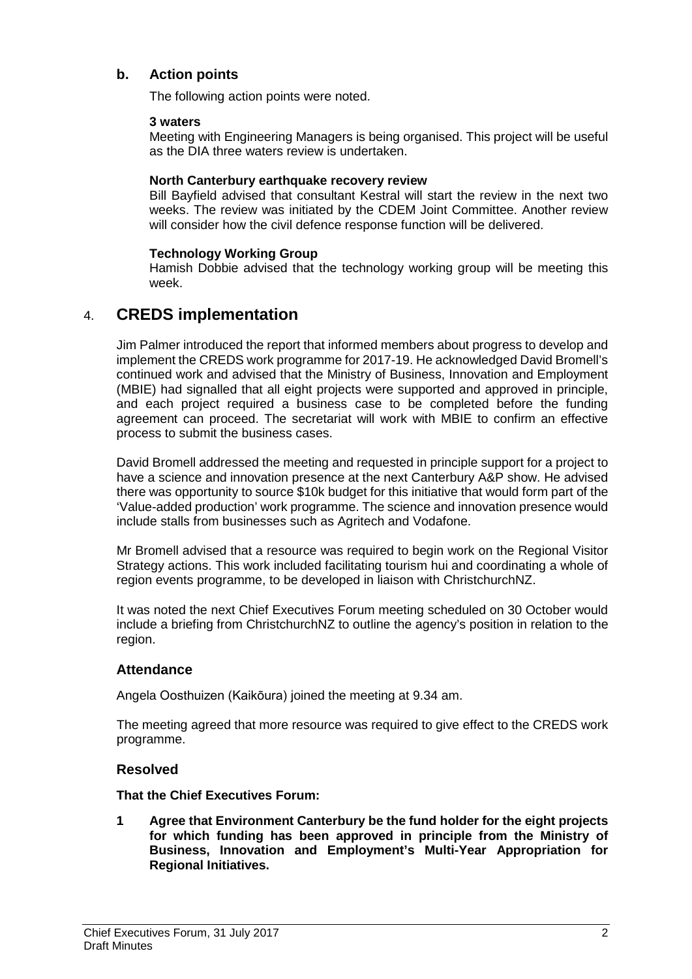### **b. Action points**

The following action points were noted.

### **3 waters**

Meeting with Engineering Managers is being organised. This project will be useful as the DIA three waters review is undertaken.

### **North Canterbury earthquake recovery review**

Bill Bayfield advised that consultant Kestral will start the review in the next two weeks. The review was initiated by the CDEM Joint Committee. Another review will consider how the civil defence response function will be delivered.

### **Technology Working Group**

Hamish Dobbie advised that the technology working group will be meeting this week.

### 4. **CREDS implementation**

Jim Palmer introduced the report that informed members about progress to develop and implement the CREDS work programme for 2017-19. He acknowledged David Bromell's continued work and advised that the Ministry of Business, Innovation and Employment (MBIE) had signalled that all eight projects were supported and approved in principle, and each project required a business case to be completed before the funding agreement can proceed. The secretariat will work with MBIE to confirm an effective process to submit the business cases.

David Bromell addressed the meeting and requested in principle support for a project to have a science and innovation presence at the next Canterbury A&P show. He advised there was opportunity to source \$10k budget for this initiative that would form part of the 'Value-added production' work programme. The science and innovation presence would include stalls from businesses such as Agritech and Vodafone.

Mr Bromell advised that a resource was required to begin work on the Regional Visitor Strategy actions. This work included facilitating tourism hui and coordinating a whole of region events programme, to be developed in liaison with ChristchurchNZ.

It was noted the next Chief Executives Forum meeting scheduled on 30 October would include a briefing from ChristchurchNZ to outline the agency's position in relation to the region.

### **Attendance**

Angela Oosthuizen (Kaikōura) joined the meeting at 9.34 am.

The meeting agreed that more resource was required to give effect to the CREDS work programme.

### **Resolved**

**That the Chief Executives Forum:**

**1 Agree that Environment Canterbury be the fund holder for the eight projects for which funding has been approved in principle from the Ministry of Business, Innovation and Employment's Multi-Year Appropriation for Regional Initiatives.**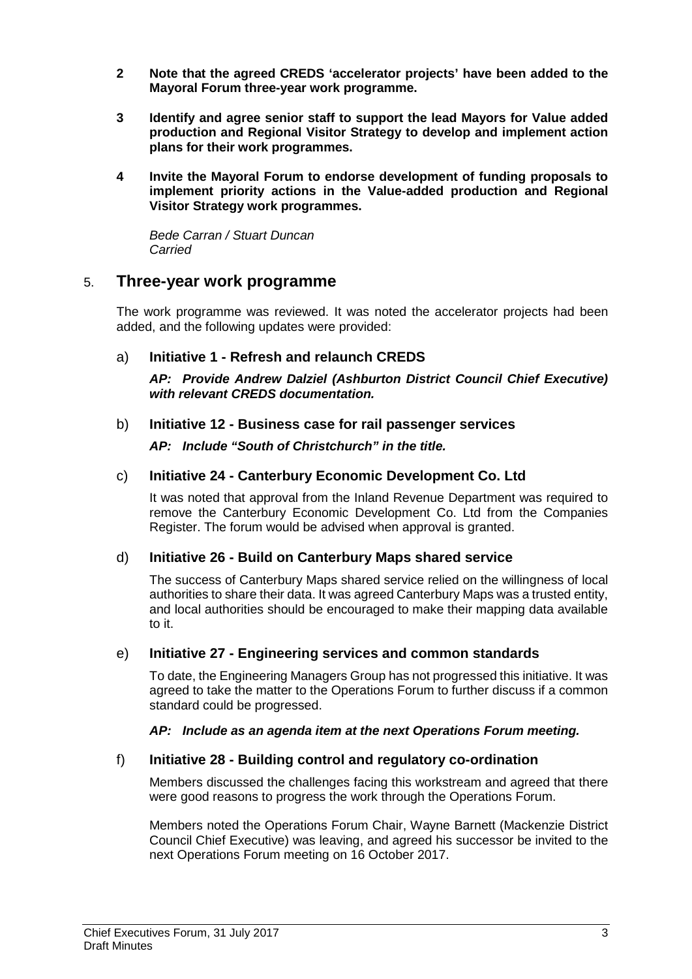- **2 Note that the agreed CREDS 'accelerator projects' have been added to the Mayoral Forum three-year work programme.**
- **3 Identify and agree senior staff to support the lead Mayors for Value added production and Regional Visitor Strategy to develop and implement action plans for their work programmes.**
- **4 Invite the Mayoral Forum to endorse development of funding proposals to implement priority actions in the Value-added production and Regional Visitor Strategy work programmes.**

*Bede Carran / Stuart Duncan Carried*

### 5. **Three-year work programme**

The work programme was reviewed. It was noted the accelerator projects had been added, and the following updates were provided:

### a) **Initiative 1 - Refresh and relaunch CREDS**

*AP: Provide Andrew Dalziel (Ashburton District Council Chief Executive) with relevant CREDS documentation.*

### b) **Initiative 12 - Business case for rail passenger services**

*AP: Include "South of Christchurch" in the title.*

### c) **Initiative 24 - Canterbury Economic Development Co. Ltd**

It was noted that approval from the Inland Revenue Department was required to remove the Canterbury Economic Development Co. Ltd from the Companies Register. The forum would be advised when approval is granted.

### d) **Initiative 26 - Build on Canterbury Maps shared service**

The success of Canterbury Maps shared service relied on the willingness of local authorities to share their data. It was agreed Canterbury Maps was a trusted entity, and local authorities should be encouraged to make their mapping data available to it.

### e) **Initiative 27 - Engineering services and common standards**

To date, the Engineering Managers Group has not progressed this initiative. It was agreed to take the matter to the Operations Forum to further discuss if a common standard could be progressed.

### *AP: Include as an agenda item at the next Operations Forum meeting.*

### f) **Initiative 28 - Building control and regulatory co-ordination**

Members discussed the challenges facing this workstream and agreed that there were good reasons to progress the work through the Operations Forum.

Members noted the Operations Forum Chair, Wayne Barnett (Mackenzie District Council Chief Executive) was leaving, and agreed his successor be invited to the next Operations Forum meeting on 16 October 2017.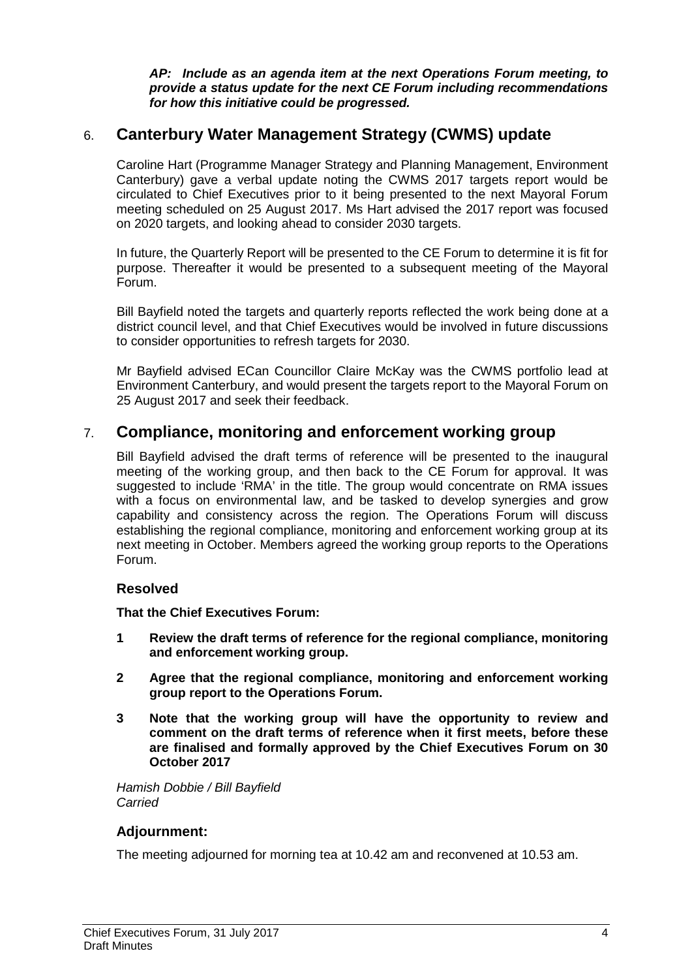*AP: Include as an agenda item at the next Operations Forum meeting, to provide a status update for the next CE Forum including recommendations for how this initiative could be progressed.* 

### 6. **Canterbury Water Management Strategy (CWMS) update**

Caroline Hart (Programme Manager Strategy and Planning Management, Environment Canterbury) gave a verbal update noting the CWMS 2017 targets report would be circulated to Chief Executives prior to it being presented to the next Mayoral Forum meeting scheduled on 25 August 2017. Ms Hart advised the 2017 report was focused on 2020 targets, and looking ahead to consider 2030 targets.

In future, the Quarterly Report will be presented to the CE Forum to determine it is fit for purpose. Thereafter it would be presented to a subsequent meeting of the Mayoral Forum.

Bill Bayfield noted the targets and quarterly reports reflected the work being done at a district council level, and that Chief Executives would be involved in future discussions to consider opportunities to refresh targets for 2030.

Mr Bayfield advised ECan Councillor Claire McKay was the CWMS portfolio lead at Environment Canterbury, and would present the targets report to the Mayoral Forum on 25 August 2017 and seek their feedback.

### 7. **Compliance, monitoring and enforcement working group**

Bill Bayfield advised the draft terms of reference will be presented to the inaugural meeting of the working group, and then back to the CE Forum for approval. It was suggested to include 'RMA' in the title. The group would concentrate on RMA issues with a focus on environmental law, and be tasked to develop synergies and grow capability and consistency across the region. The Operations Forum will discuss establishing the regional compliance, monitoring and enforcement working group at its next meeting in October. Members agreed the working group reports to the Operations Forum.

### **Resolved**

**That the Chief Executives Forum:**

- **1 Review the draft terms of reference for the regional compliance, monitoring and enforcement working group.**
- **2 Agree that the regional compliance, monitoring and enforcement working group report to the Operations Forum.**
- **3 Note that the working group will have the opportunity to review and comment on the draft terms of reference when it first meets, before these are finalised and formally approved by the Chief Executives Forum on 30 October 2017**

*Hamish Dobbie / Bill Bayfield Carried*

### **Adjournment:**

The meeting adjourned for morning tea at 10.42 am and reconvened at 10.53 am.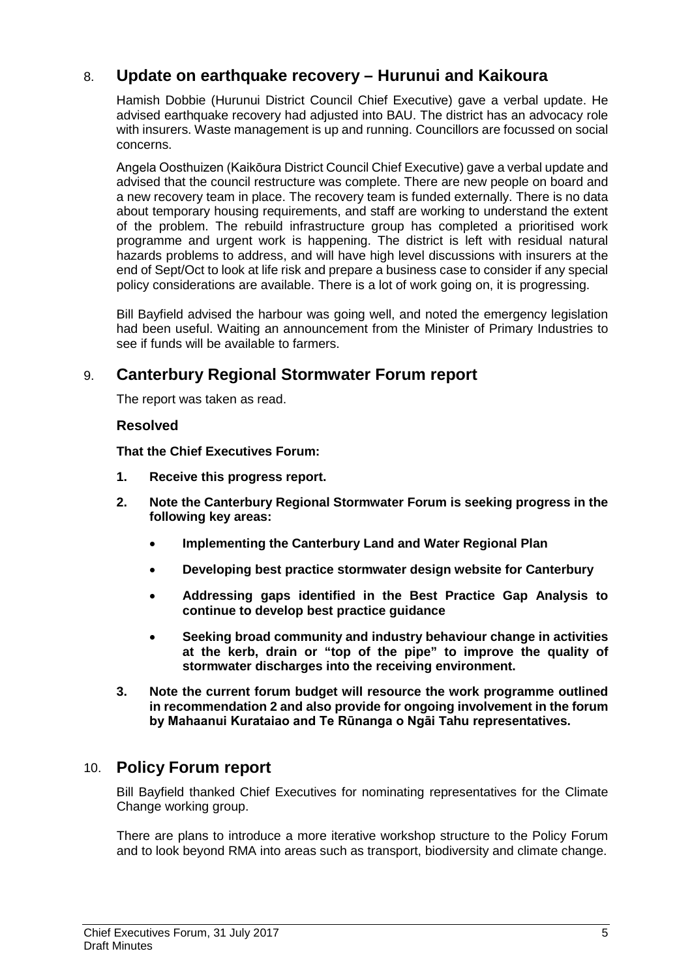### 8. **Update on earthquake recovery – Hurunui and Kaikoura**

Hamish Dobbie (Hurunui District Council Chief Executive) gave a verbal update. He advised earthquake recovery had adjusted into BAU. The district has an advocacy role with insurers. Waste management is up and running. Councillors are focussed on social concerns.

Angela Oosthuizen (Kaikōura District Council Chief Executive) gave a verbal update and advised that the council restructure was complete. There are new people on board and a new recovery team in place. The recovery team is funded externally. There is no data about temporary housing requirements, and staff are working to understand the extent of the problem. The rebuild infrastructure group has completed a prioritised work programme and urgent work is happening. The district is left with residual natural hazards problems to address, and will have high level discussions with insurers at the end of Sept/Oct to look at life risk and prepare a business case to consider if any special policy considerations are available. There is a lot of work going on, it is progressing.

Bill Bayfield advised the harbour was going well, and noted the emergency legislation had been useful. Waiting an announcement from the Minister of Primary Industries to see if funds will be available to farmers.

### 9. **Canterbury Regional Stormwater Forum report**

The report was taken as read.

### **Resolved**

**That the Chief Executives Forum:**

- **1. Receive this progress report.**
- **2. Note the Canterbury Regional Stormwater Forum is seeking progress in the following key areas:** 
	- **Implementing the Canterbury Land and Water Regional Plan**
	- **Developing best practice stormwater design website for Canterbury**
	- **Addressing gaps identified in the Best Practice Gap Analysis to continue to develop best practice guidance**
	- **Seeking broad community and industry behaviour change in activities at the kerb, drain or "top of the pipe" to improve the quality of stormwater discharges into the receiving environment.**
- **3. Note the current forum budget will resource the work programme outlined in recommendation 2 and also provide for ongoing involvement in the forum by Mahaanui Kurataiao and Te Rūnanga o Ngāi Tahu representatives.**

### 10. **Policy Forum report**

Bill Bayfield thanked Chief Executives for nominating representatives for the Climate Change working group.

There are plans to introduce a more iterative workshop structure to the Policy Forum and to look beyond RMA into areas such as transport, biodiversity and climate change.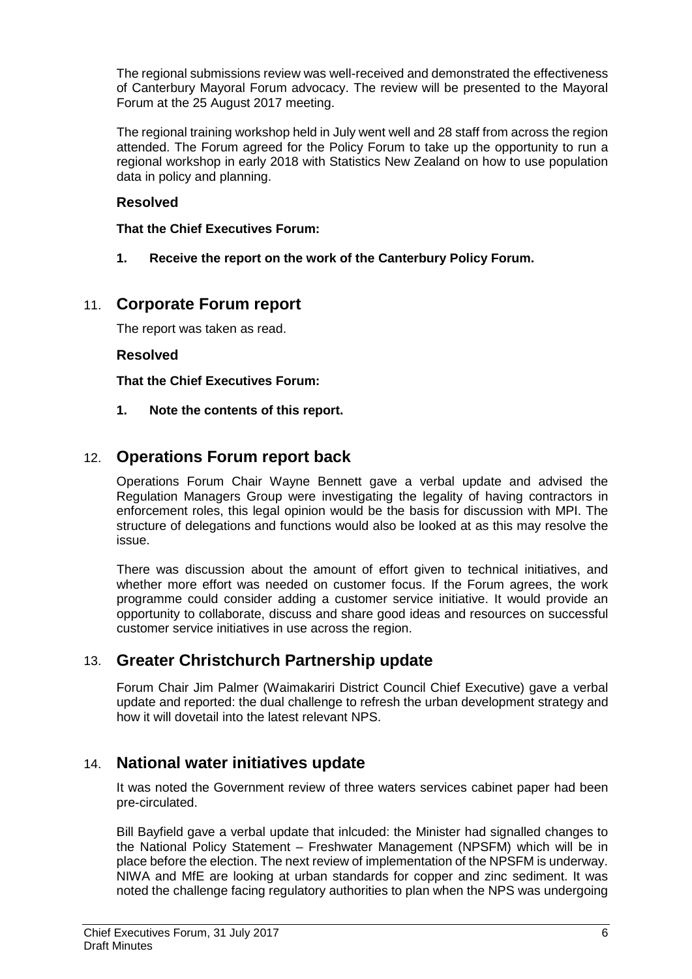The regional submissions review was well-received and demonstrated the effectiveness of Canterbury Mayoral Forum advocacy. The review will be presented to the Mayoral Forum at the 25 August 2017 meeting.

The regional training workshop held in July went well and 28 staff from across the region attended. The Forum agreed for the Policy Forum to take up the opportunity to run a regional workshop in early 2018 with Statistics New Zealand on how to use population data in policy and planning.

### **Resolved**

**That the Chief Executives Forum:**

**1. Receive the report on the work of the Canterbury Policy Forum.**

### 11. **Corporate Forum report**

The report was taken as read.

### **Resolved**

**That the Chief Executives Forum:**

**1. Note the contents of this report.**

### 12. **Operations Forum report back**

Operations Forum Chair Wayne Bennett gave a verbal update and advised the Regulation Managers Group were investigating the legality of having contractors in enforcement roles, this legal opinion would be the basis for discussion with MPI. The structure of delegations and functions would also be looked at as this may resolve the issue.

There was discussion about the amount of effort given to technical initiatives, and whether more effort was needed on customer focus. If the Forum agrees, the work programme could consider adding a customer service initiative. It would provide an opportunity to collaborate, discuss and share good ideas and resources on successful customer service initiatives in use across the region.

### 13. **Greater Christchurch Partnership update**

Forum Chair Jim Palmer (Waimakariri District Council Chief Executive) gave a verbal update and reported: the dual challenge to refresh the urban development strategy and how it will dovetail into the latest relevant NPS.

### 14. **National water initiatives update**

It was noted the Government review of three waters services cabinet paper had been pre-circulated.

Bill Bayfield gave a verbal update that inlcuded: the Minister had signalled changes to the National Policy Statement – Freshwater Management (NPSFM) which will be in place before the election. The next review of implementation of the NPSFM is underway. NIWA and MfE are looking at urban standards for copper and zinc sediment. It was noted the challenge facing regulatory authorities to plan when the NPS was undergoing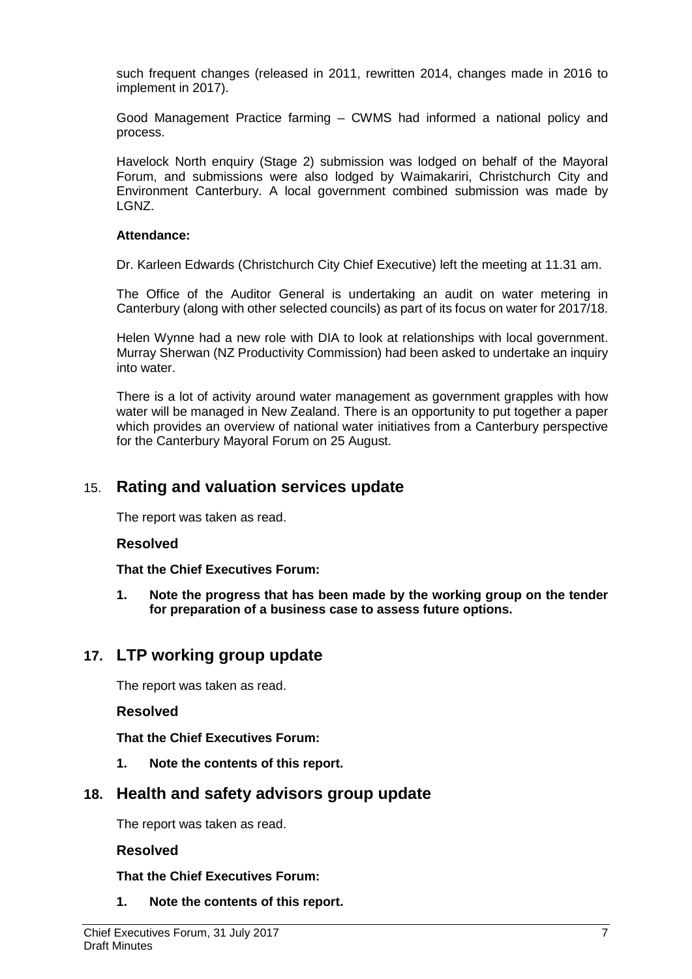such frequent changes (released in 2011, rewritten 2014, changes made in 2016 to implement in 2017).

Good Management Practice farming – CWMS had informed a national policy and process.

Havelock North enquiry (Stage 2) submission was lodged on behalf of the Mayoral Forum, and submissions were also lodged by Waimakariri, Christchurch City and Environment Canterbury. A local government combined submission was made by LGNZ.

### **Attendance:**

Dr. Karleen Edwards (Christchurch City Chief Executive) left the meeting at 11.31 am.

The Office of the Auditor General is undertaking an audit on water metering in Canterbury (along with other selected councils) as part of its focus on water for 2017/18.

Helen Wynne had a new role with DIA to look at relationships with local government. Murray Sherwan (NZ Productivity Commission) had been asked to undertake an inquiry into water.

There is a lot of activity around water management as government grapples with how water will be managed in New Zealand. There is an opportunity to put together a paper which provides an overview of national water initiatives from a Canterbury perspective for the Canterbury Mayoral Forum on 25 August.

### 15. **Rating and valuation services update**

The report was taken as read.

### **Resolved**

**That the Chief Executives Forum:**

**1. Note the progress that has been made by the working group on the tender for preparation of a business case to assess future options.**

### **17. LTP working group update**

The report was taken as read.

### **Resolved**

**That the Chief Executives Forum:**

**1. Note the contents of this report.**

### **18. Health and safety advisors group update**

The report was taken as read.

### **Resolved**

**That the Chief Executives Forum:**

**1. Note the contents of this report.**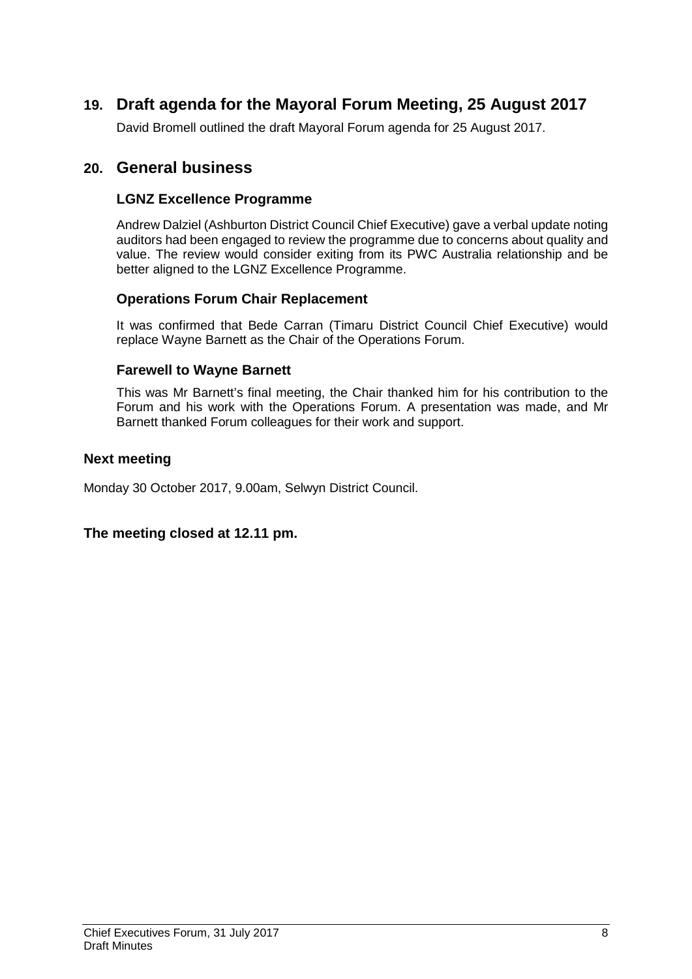### **19. Draft agenda for the Mayoral Forum Meeting, 25 August 2017**

David Bromell outlined the draft Mayoral Forum agenda for 25 August 2017.

### **20. General business**

### **LGNZ Excellence Programme**

Andrew Dalziel (Ashburton District Council Chief Executive) gave a verbal update noting auditors had been engaged to review the programme due to concerns about quality and value. The review would consider exiting from its PWC Australia relationship and be better aligned to the LGNZ Excellence Programme.

### **Operations Forum Chair Replacement**

It was confirmed that Bede Carran (Timaru District Council Chief Executive) would replace Wayne Barnett as the Chair of the Operations Forum.

### **Farewell to Wayne Barnett**

This was Mr Barnett's final meeting, the Chair thanked him for his contribution to the Forum and his work with the Operations Forum. A presentation was made, and Mr Barnett thanked Forum colleagues for their work and support.

### **Next meeting**

Monday 30 October 2017, 9.00am, Selwyn District Council.

### **The meeting closed at 12.11 pm.**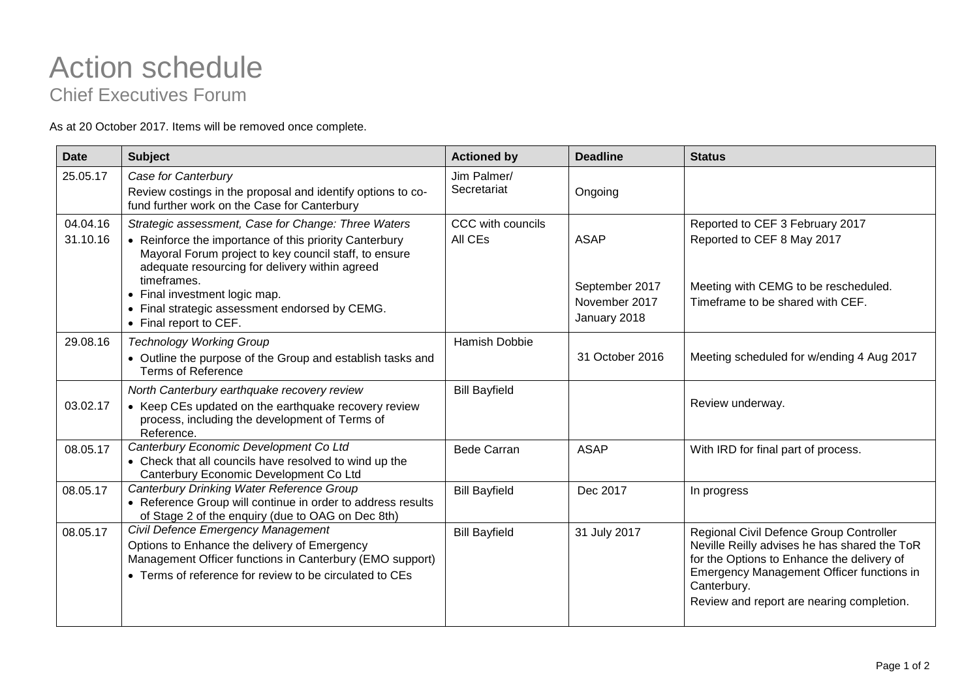# Action schedule

Chief Executives Forum

As at 20 October 2017. Items will be removed once complete.

| Date                 | <b>Subject</b>                                                                                                                                                                                                                                                                                                                                       | <b>Actioned by</b>           | <b>Deadline</b>                                                | <b>Status</b>                                                                                                                                                                                                                                  |
|----------------------|------------------------------------------------------------------------------------------------------------------------------------------------------------------------------------------------------------------------------------------------------------------------------------------------------------------------------------------------------|------------------------------|----------------------------------------------------------------|------------------------------------------------------------------------------------------------------------------------------------------------------------------------------------------------------------------------------------------------|
| 25.05.17             | Case for Canterbury<br>Review costings in the proposal and identify options to co-<br>fund further work on the Case for Canterbury                                                                                                                                                                                                                   | Jim Palmer/<br>Secretariat   | Ongoing                                                        |                                                                                                                                                                                                                                                |
| 04.04.16<br>31.10.16 | Strategic assessment, Case for Change: Three Waters<br>• Reinforce the importance of this priority Canterbury<br>Mayoral Forum project to key council staff, to ensure<br>adequate resourcing for delivery within agreed<br>timeframes.<br>• Final investment logic map.<br>• Final strategic assessment endorsed by CEMG.<br>• Final report to CEF. | CCC with councils<br>All CEs | <b>ASAP</b><br>September 2017<br>November 2017<br>January 2018 | Reported to CEF 3 February 2017<br>Reported to CEF 8 May 2017<br>Meeting with CEMG to be rescheduled.<br>Timeframe to be shared with CEF.                                                                                                      |
| 29.08.16             | <b>Technology Working Group</b><br>• Outline the purpose of the Group and establish tasks and<br><b>Terms of Reference</b>                                                                                                                                                                                                                           | Hamish Dobbie                | 31 October 2016                                                | Meeting scheduled for w/ending 4 Aug 2017                                                                                                                                                                                                      |
| 03.02.17             | North Canterbury earthquake recovery review<br>• Keep CEs updated on the earthquake recovery review<br>process, including the development of Terms of<br>Reference.                                                                                                                                                                                  | <b>Bill Bayfield</b>         |                                                                | Review underway.                                                                                                                                                                                                                               |
| 08.05.17             | Canterbury Economic Development Co Ltd<br>• Check that all councils have resolved to wind up the<br>Canterbury Economic Development Co Ltd                                                                                                                                                                                                           | <b>Bede Carran</b>           | <b>ASAP</b>                                                    | With IRD for final part of process.                                                                                                                                                                                                            |
| 08.05.17             | Canterbury Drinking Water Reference Group<br>• Reference Group will continue in order to address results<br>of Stage 2 of the enquiry (due to OAG on Dec 8th)                                                                                                                                                                                        | <b>Bill Bayfield</b>         | Dec 2017                                                       | In progress                                                                                                                                                                                                                                    |
| 08.05.17             | Civil Defence Emergency Management<br>Options to Enhance the delivery of Emergency<br>Management Officer functions in Canterbury (EMO support)<br>• Terms of reference for review to be circulated to CEs                                                                                                                                            | <b>Bill Bayfield</b>         | 31 July 2017                                                   | Regional Civil Defence Group Controller<br>Neville Reilly advises he has shared the ToR<br>for the Options to Enhance the delivery of<br>Emergency Management Officer functions in<br>Canterbury.<br>Review and report are nearing completion. |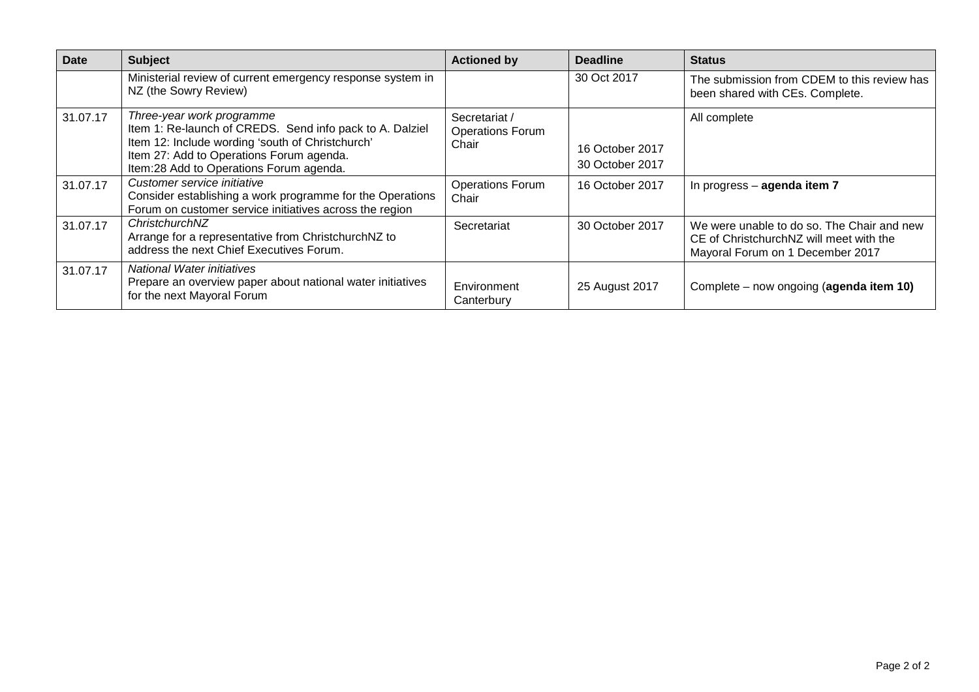| <b>Date</b> | <b>Subject</b>                                                                                                                                                                                                                   | <b>Actioned by</b>                                | <b>Deadline</b>                    | <b>Status</b>                                                                                                             |
|-------------|----------------------------------------------------------------------------------------------------------------------------------------------------------------------------------------------------------------------------------|---------------------------------------------------|------------------------------------|---------------------------------------------------------------------------------------------------------------------------|
|             | Ministerial review of current emergency response system in<br>NZ (the Sowry Review)                                                                                                                                              |                                                   | 30 Oct 2017                        | The submission from CDEM to this review has<br>been shared with CEs. Complete.                                            |
| 31.07.17    | Three-year work programme<br>Item 1: Re-launch of CREDS. Send info pack to A. Dalziel<br>Item 12: Include wording 'south of Christchurch'<br>Item 27: Add to Operations Forum agenda.<br>Item:28 Add to Operations Forum agenda. | Secretariat /<br><b>Operations Forum</b><br>Chair | 16 October 2017<br>30 October 2017 | All complete                                                                                                              |
| 31.07.17    | Customer service initiative<br>Consider establishing a work programme for the Operations<br>Forum on customer service initiatives across the region                                                                              | <b>Operations Forum</b><br>Chair                  | 16 October 2017                    | In progress - agenda item 7                                                                                               |
| 31.07.17    | ChristchurchNZ<br>Arrange for a representative from ChristchurchNZ to<br>address the next Chief Executives Forum.                                                                                                                | Secretariat                                       | 30 October 2017                    | We were unable to do so. The Chair and new<br>CE of ChristchurchNZ will meet with the<br>Mayoral Forum on 1 December 2017 |
| 31.07.17    | <b>National Water initiatives</b><br>Prepare an overview paper about national water initiatives<br>for the next Mayoral Forum                                                                                                    | Environment<br>Canterbury                         | 25 August 2017                     | Complete – now ongoing (agenda item 10)                                                                                   |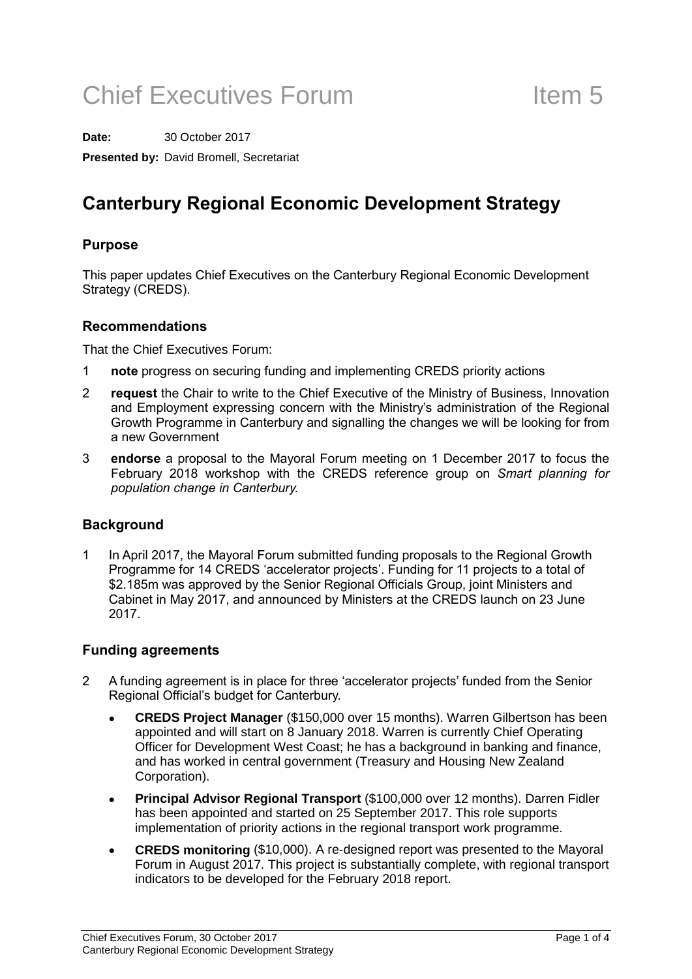# Chief Executives Forum Item 5

**Date:** 30 October 2017 **Presented by:** David Bromell, Secretariat

### Canterbury Regional Economic Development Strategy

### Purpose

This paper updates Chief Executives on the Canterbury Regional Economic Development Strategy (CREDS).

### Recommendations

That the Chief Executives Forum:

- 1 **note** progress on securing funding and implementing CREDS priority actions
- 2 **request** the Chair to write to the Chief Executive of the Ministry of Business, Innovation and Employment expressing concern with the Ministry's administration of the Regional Growth Programme in Canterbury and signalling the changes we will be looking for from a new Government
- 3 endorse a proposal to the Mayoral Forum meeting on 1 December 2017 to focus the February 2018 workshop with the CREDS reference group on Smart planning for population change in Canterbury.

### **Background**

1 In April 2017, the Mayoral Forum submitted funding proposals to the Regional Growth Programme for 14 CREDS 'accelerator projects'. Funding for 11 projects to a total of \$2.185m was approved by the Senior Regional Officials Group, joint Ministers and Cabinet in May 2017, and announced by Ministers at the CREDS launch on 23 June 2017.

### Funding agreements

- 2 A funding agreement is in place for three 'accelerator projects' funded from the Senior Regional Official's budget for Canterbury.
	- **CREDS Project Manager** (\$150,000 over 15 months). Warren Gilbertson has been appointed and will start on 8 January 2018. Warren is currently Chief Operating Officer for Development West Coast; he has a background in banking and finance, and has worked in central government (Treasury and Housing New Zealand Corporation).
	- **Principal Advisor Regional Transport** (\$100,000 over 12 months). Darren Fidler has been appointed and started on 25 September 2017. This role supports implementation of priority actions in the regional transport work programme.
	- **CREDS monitoring** (\$10,000). A re-designed report was presented to the Mayoral Forum in August 2017. This project is substantially complete, with regional transport indicators to be developed for the February 2018 report.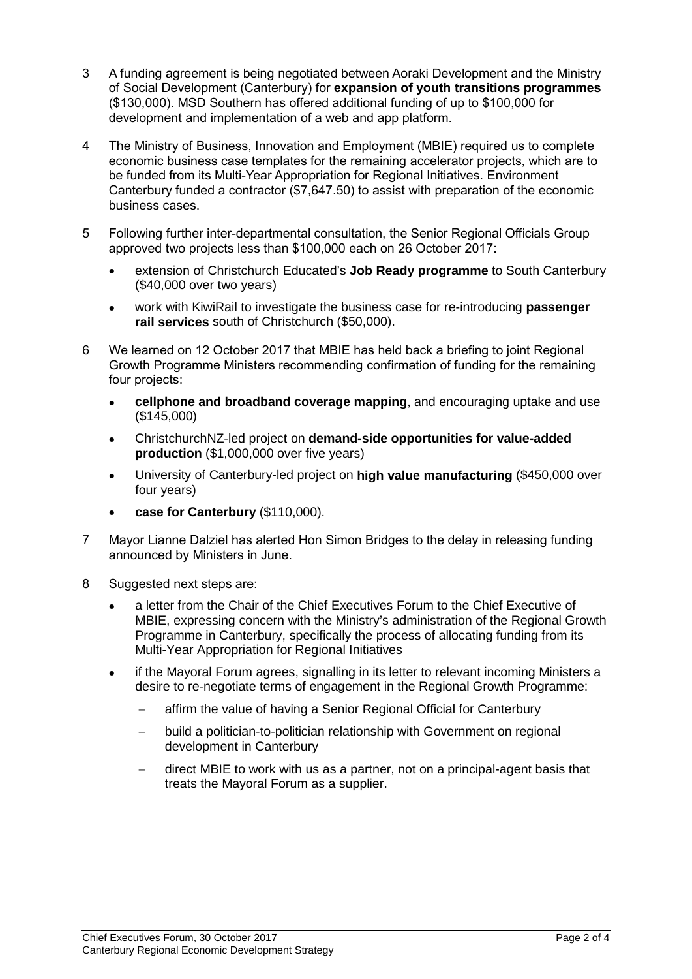- 3 A funding agreement is being negotiated between Aoraki Development and the Ministry of Social Development (Canterbury) for expansion of youth transitions programmes (\$130,000). MSD Southern has offered additional funding of up to \$100,000 for development and implementation of a web and app platform.
- 4 The Ministry of Business, Innovation and Employment (MBIE) required us to complete economic business case templates for the remaining accelerator projects, which are to be funded from its Multi-Year Appropriation for Regional Initiatives. Environment Canterbury funded a contractor (\$7,647.50) to assist with preparation of the economic business cases.
- 5 Following further inter-departmental consultation, the Senior Regional Officials Group approved two projects less than \$100,000 each on 26 October 2017:
	- extension of Christchurch Educated's **Job Ready programme** to South Canterbury (\$40,000 over two years)
	- work with KiwiRail to investigate the business case for re-introducing **passenger rail services** south of Christchurch (\$50,000).
- 6 We learned on 12 October 2017 that MBIE has held back a briefing to joint Regional Growth Programme Ministers recommending confirmation of funding for the remaining four projects:
	- **cellphone and broadband coverage mapping**, and encouraging uptake and use (\$145,000)
	- ChristchurchNZ-led project on **demand-side opportunities for value-added production** (\$1,000,000 over five years)
	- University of Canterbury-led project on **high value manufacturing** (\$450,000 over four years)
	- **case for Canterbury** (\$110,000).
- 7 Mayor Lianne Dalziel has alerted Hon Simon Bridges to the delay in releasing funding announced by Ministers in June.
- 8 Suggested next steps are:
	- a letter from the Chair of the Chief Executives Forum to the Chief Executive of MBIE, expressing concern with the Ministry's administration of the Regional Growth Programme in Canterbury, specifically the process of allocating funding from its Multi-Year Appropriation for Regional Initiatives
	- if the Mayoral Forum agrees, signalling in its letter to relevant incoming Ministers a desire to re-negotiate terms of engagement in the Regional Growth Programme:
		- − affirm the value of having a Senior Regional Official for Canterbury
		- − build a politician-to-politician relationship with Government on regional development in Canterbury
		- direct MBIE to work with us as a partner, not on a principal-agent basis that treats the Mayoral Forum as a supplier.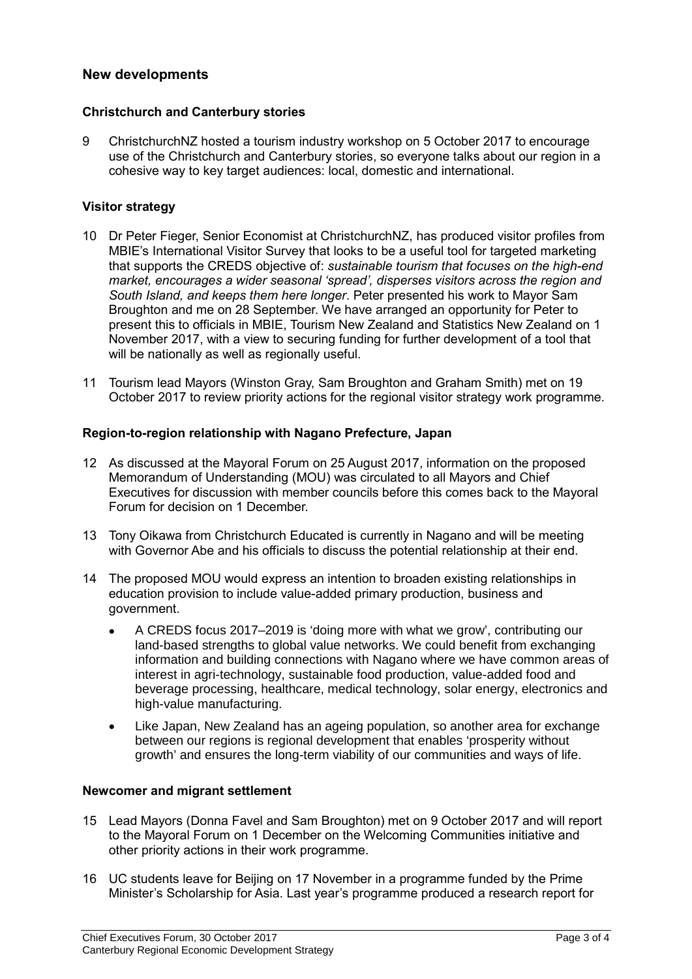### New developments

### Christchurch and Canterbury stories

9 ChristchurchNZ hosted a tourism industry workshop on 5 October 2017 to encourage use of the Christchurch and Canterbury stories, so everyone talks about our region in a cohesive way to key target audiences: local, domestic and international.

### Visitor strategy

- 10 Dr Peter Fieger, Senior Economist at ChristchurchNZ, has produced visitor profiles from MBIE's International Visitor Survey that looks to be a useful tool for targeted marketing that supports the CREDS objective of: sustainable tourism that focuses on the high-end market, encourages a wider seasonal 'spread', disperses visitors across the region and South Island, and keeps them here longer. Peter presented his work to Mayor Sam Broughton and me on 28 September. We have arranged an opportunity for Peter to present this to officials in MBIE, Tourism New Zealand and Statistics New Zealand on 1 November 2017, with a view to securing funding for further development of a tool that will be nationally as well as regionally useful.
- 11 Tourism lead Mayors (Winston Gray, Sam Broughton and Graham Smith) met on 19 October 2017 to review priority actions for the regional visitor strategy work programme.

### Region-to-region relationship with Nagano Prefecture, Japan

- 12 As discussed at the Mayoral Forum on 25 August 2017, information on the proposed Memorandum of Understanding (MOU) was circulated to all Mayors and Chief Executives for discussion with member councils before this comes back to the Mayoral Forum for decision on 1 December.
- 13 Tony Oikawa from Christchurch Educated is currently in Nagano and will be meeting with Governor Abe and his officials to discuss the potential relationship at their end.
- 14 The proposed MOU would express an intention to broaden existing relationships in education provision to include value-added primary production, business and government.
	- A CREDS focus 2017–2019 is 'doing more with what we grow', contributing our land-based strengths to global value networks. We could benefit from exchanging information and building connections with Nagano where we have common areas of interest in agri-technology, sustainable food production, value-added food and beverage processing, healthcare, medical technology, solar energy, electronics and high-value manufacturing.
	- Like Japan, New Zealand has an ageing population, so another area for exchange between our regions is regional development that enables 'prosperity without growth' and ensures the long-term viability of our communities and ways of life.

### Newcomer and migrant settlement

- 15 Lead Mayors (Donna Favel and Sam Broughton) met on 9 October 2017 and will report to the Mayoral Forum on 1 December on the Welcoming Communities initiative and other priority actions in their work programme.
- 16 UC students leave for Beijing on 17 November in a programme funded by the Prime Minister's Scholarship for Asia. Last year's programme produced a research report for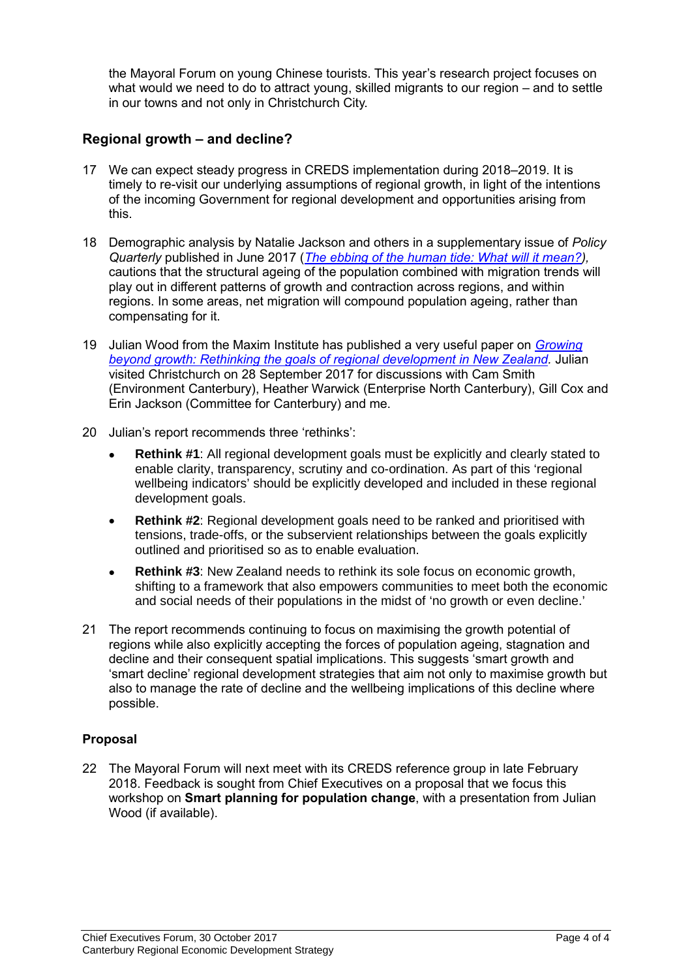the Mayoral Forum on young Chinese tourists. This year's research project focuses on what would we need to do to attract young, skilled migrants to our region – and to settle in our towns and not only in Christchurch City.

### Regional growth – and decline?

- 17 We can expect steady progress in CREDS implementation during 2018–2019. It is timely to re-visit our underlying assumptions of regional growth, in light of the intentions of the incoming Government for regional development and opportunities arising from this.
- 18 Demographic analysis by Natalie Jackson and others in a supplementary issue of Policy Quarterly published in June 2017 ([The ebbing of the human tide: What will it mean?\)](http://igps.victoria.ac.nz/publications/PQ/2017/PQ-Vol-13-Supplementary-2017.pdf). cautions that the structural ageing of the population combined with migration trends will play out in different patterns of growth and contraction across regions, and within regions. In some areas, net migration will compound population ageing, rather than compensating for it.
- 19 Julian Wood from the Maxim Institute has published a very useful paper on *Growing* [beyond growth: Rethinking the goals of regional development in New Zealand.](https://www.maxim.org.nz/growing-beyond-growth/) Julian visited Christchurch on 28 September 2017 for discussions with Cam Smith (Environment Canterbury), Heather Warwick (Enterprise North Canterbury), Gill Cox and Erin Jackson (Committee for Canterbury) and me.
- 20 Julian's report recommends three 'rethinks':
	- **Rethink #1**: All regional development goals must be explicitly and clearly stated to enable clarity, transparency, scrutiny and co-ordination. As part of this 'regional wellbeing indicators' should be explicitly developed and included in these regional development goals.
	- **Rethink #2**: Regional development goals need to be ranked and prioritised with tensions, trade-offs, or the subservient relationships between the goals explicitly outlined and prioritised so as to enable evaluation.
	- **Rethink #3**: New Zealand needs to rethink its sole focus on economic growth, shifting to a framework that also empowers communities to meet both the economic and social needs of their populations in the midst of 'no growth or even decline.'
- 21 The report recommends continuing to focus on maximising the growth potential of regions while also explicitly accepting the forces of population ageing, stagnation and decline and their consequent spatial implications. This suggests 'smart growth and 'smart decline' regional development strategies that aim not only to maximise growth but also to manage the rate of decline and the wellbeing implications of this decline where possible.

### Proposal

22 The Mayoral Forum will next meet with its CREDS reference group in late February 2018. Feedback is sought from Chief Executives on a proposal that we focus this workshop on **Smart planning for population change**, with a presentation from Julian Wood (if available).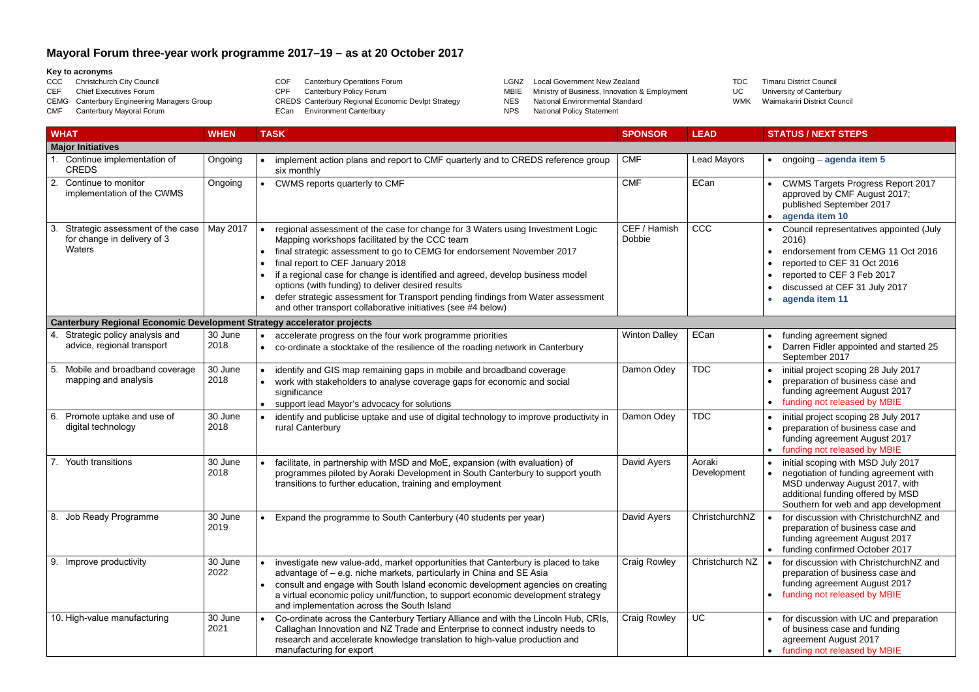### **Mayoral Forum three-year work programme 2017–19 – as at 20 October 2017**

#### **Key to acronyms**

- CCC Christchurch City Council CEF Chief Executives Forum CEMG Canterbury Engineering Managers Group CMF Canterbury Mayoral Forum COF Canterbury Operations Forum<br>CPF Canterbury Policy Forum Canterbury Policy Forum CREDS Canterbury Regional Economic Devlpt Strategy ECan Environment Canterbury
- LGNZ Local Government New Zealand<br>MBIE Ministry of Business, Innovation 8
- MBIE Ministry of Business, Innovation & Employment<br>NES National Environmental Standard
- National Environmental Standard
- NPS National Policy Statement

TDC Timaru District Council<br>UC University of Canterbury University of Canterbury WMK Waimakariri District Council

|    | <b>WHAT</b>                                                                   | <b>WHEN</b>     | <b>TASK</b>                                                                                                                                                                                                                                                                                                                                                                                                                                                                                                                             | <b>SPONSOR</b>         | <b>LEAD</b>           | <b>STATUS / NEXT STEPS</b>                                                                                                                                                                            |
|----|-------------------------------------------------------------------------------|-----------------|-----------------------------------------------------------------------------------------------------------------------------------------------------------------------------------------------------------------------------------------------------------------------------------------------------------------------------------------------------------------------------------------------------------------------------------------------------------------------------------------------------------------------------------------|------------------------|-----------------------|-------------------------------------------------------------------------------------------------------------------------------------------------------------------------------------------------------|
|    | <b>Major Initiatives</b>                                                      |                 |                                                                                                                                                                                                                                                                                                                                                                                                                                                                                                                                         |                        |                       |                                                                                                                                                                                                       |
|    | Continue implementation of<br><b>CREDS</b>                                    | Ongoing         | implement action plans and report to CMF quarterly and to CREDS reference group<br>six monthly                                                                                                                                                                                                                                                                                                                                                                                                                                          | <b>CMF</b>             | <b>Lead Mayors</b>    | ongoing - agenda item 5<br>$\bullet$                                                                                                                                                                  |
| 2. | Continue to monitor<br>implementation of the CWMS                             | Ongoing         | CWMS reports quarterly to CMF                                                                                                                                                                                                                                                                                                                                                                                                                                                                                                           | <b>CMF</b>             | ECan                  | <b>CWMS Targets Progress Report 2017</b><br>approved by CMF August 2017;<br>published September 2017<br>agenda item 10                                                                                |
| 3. | Strategic assessment of the case<br>for change in delivery of 3<br>Waters     | May 2017        | regional assessment of the case for change for 3 Waters using Investment Logic<br>Mapping workshops facilitated by the CCC team<br>final strategic assessment to go to CEMG for endorsement November 2017<br>final report to CEF January 2018<br>if a regional case for change is identified and agreed, develop business model<br>options (with funding) to deliver desired results<br>defer strategic assessment for Transport pending findings from Water assessment<br>and other transport collaborative initiatives (see #4 below) | CEF / Hamish<br>Dobbie | CCC                   | Council representatives appointed (July<br>2016)<br>endorsement from CEMG 11 Oct 2016<br>reported to CEF 31 Oct 2016<br>reported to CEF 3 Feb 2017<br>discussed at CEF 31 July 2017<br>agenda item 11 |
|    | <b>Canterbury Regional Economic Development Strategy accelerator projects</b> |                 |                                                                                                                                                                                                                                                                                                                                                                                                                                                                                                                                         |                        |                       |                                                                                                                                                                                                       |
| 4. | Strategic policy analysis and<br>advice, regional transport                   | 30 June<br>2018 | accelerate progress on the four work programme priorities<br>co-ordinate a stocktake of the resilience of the roading network in Canterbury                                                                                                                                                                                                                                                                                                                                                                                             | <b>Winton Dalley</b>   | ECan                  | funding agreement signed<br>Darren Fidler appointed and started 25<br>September 2017                                                                                                                  |
| 5. | Mobile and broadband coverage<br>mapping and analysis                         | 30 June<br>2018 | identify and GIS map remaining gaps in mobile and broadband coverage<br>work with stakeholders to analyse coverage gaps for economic and social<br>significance<br>support lead Mayor's advocacy for solutions                                                                                                                                                                                                                                                                                                                          | Damon Odey             | <b>TDC</b>            | initial project scoping 28 July 2017<br>preparation of business case and<br>funding agreement August 2017<br>funding not released by MBIE                                                             |
| 6. | Promote uptake and use of<br>digital technology                               | 30 June<br>2018 | identify and publicise uptake and use of digital technology to improve productivity in<br>rural Canterbury                                                                                                                                                                                                                                                                                                                                                                                                                              | Damon Odey             | <b>TDC</b>            | initial project scoping 28 July 2017<br>preparation of business case and<br>funding agreement August 2017<br>funding not released by MBIE                                                             |
|    | 7. Youth transitions                                                          | 30 June<br>2018 | facilitate, in partnership with MSD and MoE, expansion (with evaluation) of<br>programmes piloted by Aoraki Development in South Canterbury to support youth<br>transitions to further education, training and employment                                                                                                                                                                                                                                                                                                               | David Ayers            | Aoraki<br>Development | initial scoping with MSD July 2017<br>negotiation of funding agreement with<br>MSD underway August 2017, with<br>additional funding offered by MSD<br>Southern for web and app development            |
| 8. | Job Ready Programme                                                           | 30 June<br>2019 | Expand the programme to South Canterbury (40 students per year)                                                                                                                                                                                                                                                                                                                                                                                                                                                                         | David Ayers            | ChristchurchNZ        | for discussion with ChristchurchNZ and<br>preparation of business case and<br>funding agreement August 2017<br>funding confirmed October 2017                                                         |
|    | 9. Improve productivity                                                       | 30 June<br>2022 | investigate new value-add, market opportunities that Canterbury is placed to take<br>advantage of – e.g. niche markets, particularly in China and SE Asia<br>consult and engage with South Island economic development agencies on creating<br>a virtual economic policy unit/function, to support economic development strategy<br>and implementation across the South Island                                                                                                                                                          | <b>Craig Rowley</b>    | Christchurch NZ       | for discussion with ChristchurchNZ and<br>preparation of business case and<br>funding agreement August 2017<br>funding not released by MBIE                                                           |
|    | 10. High-value manufacturing                                                  | 30 June<br>2021 | Co-ordinate across the Canterbury Tertiary Alliance and with the Lincoln Hub, CRIs,<br>Callaghan Innovation and NZ Trade and Enterprise to connect industry needs to<br>research and accelerate knowledge translation to high-value production and<br>manufacturing for export                                                                                                                                                                                                                                                          | <b>Craig Rowley</b>    | <b>UC</b>             | for discussion with UC and preparation<br>of business case and funding<br>agreement August 2017<br>funding not released by MBIE                                                                       |

- 
-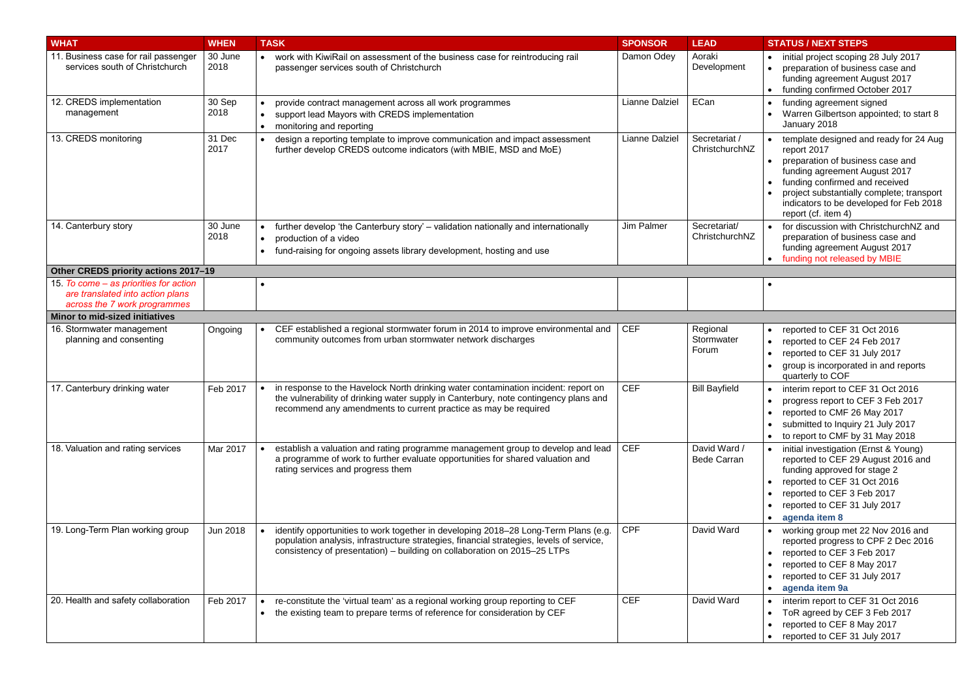| <b>WHAT</b>                                                                                                | <b>WHEN</b>     | <b>TASK</b>                                                                                                                                                                                                                                                 | <b>SPONSOR</b> | <b>LEAD</b>                        | <b>STATUS / NEXT STEPS</b>                                                                                                                                                                                                                                                  |
|------------------------------------------------------------------------------------------------------------|-----------------|-------------------------------------------------------------------------------------------------------------------------------------------------------------------------------------------------------------------------------------------------------------|----------------|------------------------------------|-----------------------------------------------------------------------------------------------------------------------------------------------------------------------------------------------------------------------------------------------------------------------------|
| 11. Business case for rail passenger<br>services south of Christchurch                                     | 30 June<br>2018 | work with KiwiRail on assessment of the business case for reintroducing rail<br>$\bullet$<br>passenger services south of Christchurch                                                                                                                       | Damon Odey     | Aoraki<br>Development              | initial project scoping 28 July 2017<br>preparation of business case and<br>funding agreement August 2017<br>funding confirmed October 2017                                                                                                                                 |
| 12. CREDS implementation<br>management                                                                     | 30 Sep<br>2018  | provide contract management across all work programmes<br>support lead Mayors with CREDS implementation<br>$\bullet$<br>monitoring and reporting<br>$\bullet$                                                                                               | Lianne Dalziel | ECan                               | funding agreement signed<br>Warren Gilbertson appointed; to start 8<br>January 2018                                                                                                                                                                                         |
| 13. CREDS monitoring                                                                                       | 31 Dec<br>2017  | design a reporting template to improve communication and impact assessment<br>further develop CREDS outcome indicators (with MBIE, MSD and MoE)                                                                                                             | Lianne Dalziel | Secretariat /<br>ChristchurchNZ    | template designed and ready for 24 Aug<br>report 2017<br>preparation of business case and<br>funding agreement August 2017<br>funding confirmed and received<br>project substantially complete; transport<br>indicators to be developed for Feb 2018<br>report (cf. item 4) |
| 14. Canterbury story                                                                                       | 30 June<br>2018 | further develop 'the Canterbury story' – validation nationally and internationally<br>production of a video<br>$\bullet$<br>fund-raising for ongoing assets library development, hosting and use<br>$\bullet$                                               | Jim Palmer     | Secretariat/<br>ChristchurchNZ     | for discussion with ChristchurchNZ and<br>preparation of business case and<br>funding agreement August 2017<br>funding not released by MBIE                                                                                                                                 |
| Other CREDS priority actions 2017-19                                                                       |                 |                                                                                                                                                                                                                                                             |                |                                    |                                                                                                                                                                                                                                                                             |
| 15. To come – as priorities for action<br>are translated into action plans<br>across the 7 work programmes |                 |                                                                                                                                                                                                                                                             |                |                                    |                                                                                                                                                                                                                                                                             |
| <b>Minor to mid-sized initiatives</b>                                                                      |                 |                                                                                                                                                                                                                                                             |                |                                    |                                                                                                                                                                                                                                                                             |
| 16. Stormwater management<br>planning and consenting                                                       | Ongoing         | CEF established a regional stormwater forum in 2014 to improve environmental and<br>community outcomes from urban stormwater network discharges                                                                                                             | <b>CEF</b>     | Regional<br>Stormwater<br>Forum    | reported to CEF 31 Oct 2016<br>$\bullet$<br>reported to CEF 24 Feb 2017<br>reported to CEF 31 July 2017<br>group is incorporated in and reports<br>quarterly to COF                                                                                                         |
| 17. Canterbury drinking water                                                                              | Feb 2017        | in response to the Havelock North drinking water contamination incident: report on<br>the vulnerability of drinking water supply in Canterbury, note contingency plans and<br>recommend any amendments to current practice as may be required               | <b>CEF</b>     | <b>Bill Bayfield</b>               | interim report to CEF 31 Oct 2016<br>progress report to CEF 3 Feb 2017<br>reported to CMF 26 May 2017<br>submitted to Inquiry 21 July 2017<br>to report to CMF by 31 May 2018                                                                                               |
| 18. Valuation and rating services                                                                          | Mar 2017        | establish a valuation and rating programme management group to develop and lead<br>a programme of work to further evaluate opportunities for shared valuation and<br>rating services and progress them                                                      | <b>CEF</b>     | David Ward /<br><b>Bede Carran</b> | initial investigation (Ernst & Young)<br>reported to CEF 29 August 2016 and<br>funding approved for stage 2<br>reported to CEF 31 Oct 2016<br>reported to CEF 3 Feb 2017<br>reported to CEF 31 July 2017<br>agenda item 8                                                   |
| 19. Long-Term Plan working group                                                                           | <b>Jun 2018</b> | identify opportunities to work together in developing 2018-28 Long-Term Plans (e.g.<br>population analysis, infrastructure strategies, financial strategies, levels of service,<br>consistency of presentation) – building on collaboration on 2015–25 LTPs | <b>CPF</b>     | David Ward                         | working group met 22 Nov 2016 and<br>reported progress to CPF 2 Dec 2016<br>reported to CEF 3 Feb 2017<br>$\bullet$<br>reported to CEF 8 May 2017<br>reported to CEF 31 July 2017<br>agenda item 9a                                                                         |
| 20. Health and safety collaboration                                                                        | Feb 2017        | re-constitute the 'virtual team' as a regional working group reporting to CEF<br>$\bullet$<br>the existing team to prepare terms of reference for consideration by CEF<br>$\bullet$                                                                         | <b>CEF</b>     | David Ward                         | interim report to CEF 31 Oct 2016<br>ToR agreed by CEF 3 Feb 2017<br>reported to CEF 8 May 2017<br>reported to CEF 31 July 2017<br>$\bullet$                                                                                                                                |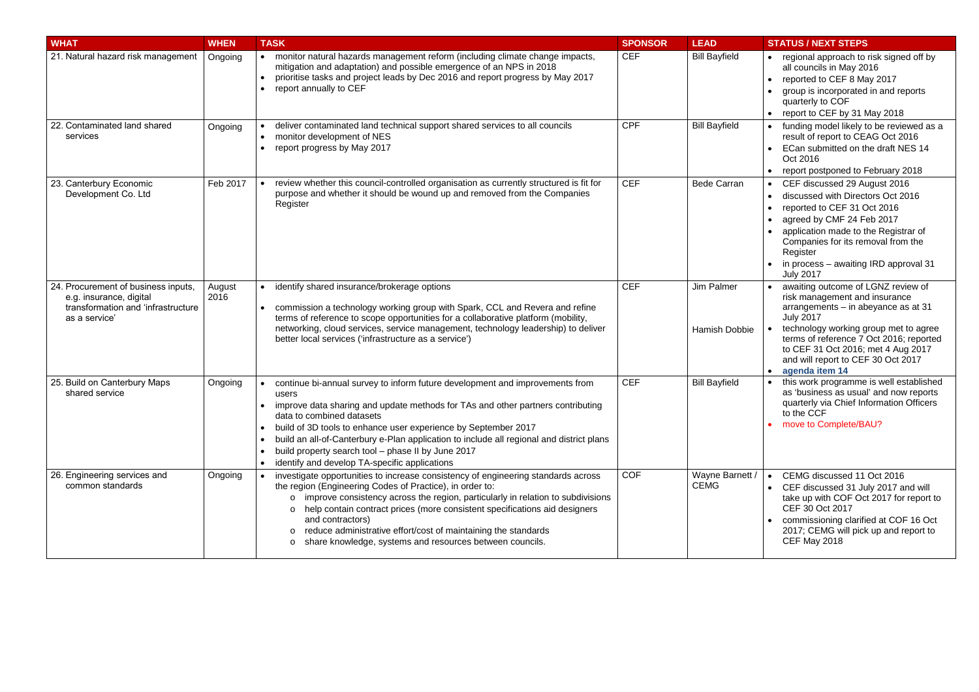| <b>WHAT</b>                                                                                                           | <b>WHEN</b>    | <b>TASK</b>                                                                                                                                                                                                                                                                                                                                                                                                                                                                                          | <b>SPONSOR</b> | <b>LEAD</b>                        | <b>STATUS / NEXT STEPS</b>                                                                                                                                                                                                                                                                     |
|-----------------------------------------------------------------------------------------------------------------------|----------------|------------------------------------------------------------------------------------------------------------------------------------------------------------------------------------------------------------------------------------------------------------------------------------------------------------------------------------------------------------------------------------------------------------------------------------------------------------------------------------------------------|----------------|------------------------------------|------------------------------------------------------------------------------------------------------------------------------------------------------------------------------------------------------------------------------------------------------------------------------------------------|
| 21. Natural hazard risk management                                                                                    | Ongoing        | monitor natural hazards management reform (including climate change impacts,<br>mitigation and adaptation) and possible emergence of an NPS in 2018<br>prioritise tasks and project leads by Dec 2016 and report progress by May 2017<br>report annually to CEF                                                                                                                                                                                                                                      | <b>CEF</b>     | <b>Bill Bayfield</b>               | regional approach to risk signed off by<br>all councils in May 2016<br>reported to CEF 8 May 2017<br>group is incorporated in and reports<br>quarterly to COF<br>report to CEF by 31 May 2018                                                                                                  |
| 22. Contaminated land shared<br>services                                                                              | Ongoing        | deliver contaminated land technical support shared services to all councils<br>monitor development of NES<br>$\bullet$<br>report progress by May 2017<br>$\bullet$                                                                                                                                                                                                                                                                                                                                   | <b>CPF</b>     | <b>Bill Bayfield</b>               | funding model likely to be reviewed as a<br>result of report to CEAG Oct 2016<br>ECan submitted on the draft NES 14<br>Oct 2016<br>report postponed to February 2018                                                                                                                           |
| 23. Canterbury Economic<br>Development Co. Ltd                                                                        | Feb 2017       | review whether this council-controlled organisation as currently structured is fit for<br>purpose and whether it should be wound up and removed from the Companies<br>Register                                                                                                                                                                                                                                                                                                                       | <b>CEF</b>     | <b>Bede Carran</b>                 | CEF discussed 29 August 2016<br>discussed with Directors Oct 2016<br>reported to CEF 31 Oct 2016<br>agreed by CMF 24 Feb 2017<br>application made to the Registrar of<br>Companies for its removal from the<br>Register<br>in process - awaiting IRD approval 31<br><b>July 2017</b>           |
| 24. Procurement of business inputs,<br>e.g. insurance, digital<br>transformation and 'infrastructure<br>as a service' | August<br>2016 | identify shared insurance/brokerage options<br>commission a technology working group with Spark, CCL and Revera and refine<br>terms of reference to scope opportunities for a collaborative platform (mobility,<br>networking, cloud services, service management, technology leadership) to deliver<br>better local services ('infrastructure as a service')                                                                                                                                        | <b>CEF</b>     | Jim Palmer<br><b>Hamish Dobbie</b> | awaiting outcome of LGNZ review of<br>risk management and insurance<br>arrangements - in abeyance as at 31<br><b>July 2017</b><br>technology working group met to agree<br>terms of reference 7 Oct 2016; reported<br>to CEF 31 Oct 2016; met 4 Aug 2017<br>and will report to CEF 30 Oct 2017 |
| 25. Build on Canterbury Maps<br>shared service                                                                        | Ongoing        | continue bi-annual survey to inform future development and improvements from<br>users<br>improve data sharing and update methods for TAs and other partners contributing<br>data to combined datasets<br>build of 3D tools to enhance user experience by September 2017<br>$\bullet$<br>build an all-of-Canterbury e-Plan application to include all regional and district plans<br>build property search tool - phase II by June 2017<br>$\bullet$<br>identify and develop TA-specific applications | <b>CEF</b>     | <b>Bill Bayfield</b>               | agenda item 14<br>this work programme is well established<br>as 'business as usual' and now reports<br>quarterly via Chief Information Officers<br>to the CCF<br>• move to Complete/BAU?                                                                                                       |
| 26. Engineering services and<br>common standards                                                                      | Ongoing        | investigate opportunities to increase consistency of engineering standards across<br>the region (Engineering Codes of Practice), in order to:<br>o improve consistency across the region, particularly in relation to subdivisions<br>help contain contract prices (more consistent specifications aid designers<br>$\circ$<br>and contractors)<br>o reduce administrative effort/cost of maintaining the standards<br>share knowledge, systems and resources between councils.<br>$\circ$           | <b>COF</b>     | Wayne Barnett /<br><b>CEMG</b>     | CEMG discussed 11 Oct 2016<br>CEF discussed 31 July 2017 and will<br>take up with COF Oct 2017 for report to<br>CEF 30 Oct 2017<br>commissioning clarified at COF 16 Oct<br>2017; CEMG will pick up and report to<br><b>CEF May 2018</b>                                                       |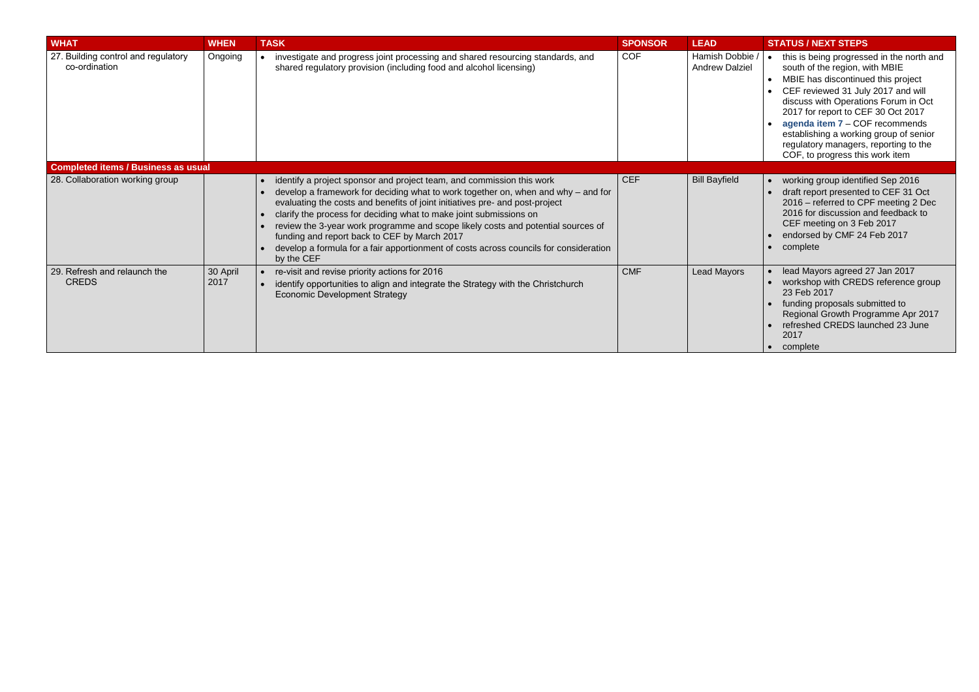| <b>WHAT</b>                                          | <b>WHEN</b>      | <b>TASK</b>                                                                                                                                                                                                                                                                                                                                                                                                                                                                                                                                                   | <b>SPONSOR</b> | <b>LEAD</b>                              | <b>STATUS / NEXT STEPS</b>                                                                                                                                                                                                                               |
|------------------------------------------------------|------------------|---------------------------------------------------------------------------------------------------------------------------------------------------------------------------------------------------------------------------------------------------------------------------------------------------------------------------------------------------------------------------------------------------------------------------------------------------------------------------------------------------------------------------------------------------------------|----------------|------------------------------------------|----------------------------------------------------------------------------------------------------------------------------------------------------------------------------------------------------------------------------------------------------------|
| 27. Building control and regulatory<br>co-ordination | Ongoing          | investigate and progress joint processing and shared resourcing standards, and<br>shared regulatory provision (including food and alcohol licensing)                                                                                                                                                                                                                                                                                                                                                                                                          | <b>COF</b>     | Hamish Dobbie /<br><b>Andrew Dalziel</b> | this is being progress<br>south of the region, w<br><b>MBIE has discontinue</b><br>CEF reviewed 31 Jul<br>discuss with Operatic<br>2017 for report to CE<br>agenda item 7 - CO<br>establishing a workin<br>regulatory managers,<br>COF, to progress this |
| <b>Completed items / Business as usual</b>           |                  |                                                                                                                                                                                                                                                                                                                                                                                                                                                                                                                                                               |                |                                          |                                                                                                                                                                                                                                                          |
| 28. Collaboration working group                      |                  | identify a project sponsor and project team, and commission this work<br>develop a framework for deciding what to work together on, when and why $-$ and for<br>evaluating the costs and benefits of joint initiatives pre- and post-project<br>clarify the process for deciding what to make joint submissions on<br>review the 3-year work programme and scope likely costs and potential sources of<br>funding and report back to CEF by March 2017<br>develop a formula for a fair apportionment of costs across councils for consideration<br>by the CEF | <b>CEF</b>     | <b>Bill Bayfield</b>                     | working group identif<br>draft report presented<br>$2016$ – referred to CF<br>2016 for discussion a<br>CEF meeting on 3 Fe<br>endorsed by CMF 24<br>complete                                                                                             |
| 29. Refresh and relaunch the<br><b>CREDS</b>         | 30 April<br>2017 | re-visit and revise priority actions for 2016<br>identify opportunities to align and integrate the Strategy with the Christchurch<br><b>Economic Development Strategy</b>                                                                                                                                                                                                                                                                                                                                                                                     | <b>CMF</b>     | <b>Lead Mayors</b>                       | lead Mayors agreed 2<br>workshop with CRED<br>23 Feb 2017<br>funding proposals sul<br><b>Regional Growth Pro</b><br>refreshed CREDS lat<br>2017<br>• complete                                                                                            |

| <b>SPONSOR</b> | <b>LEAD</b>                              | <b>STATUS / NEXT STEPS</b>                                                                                                                                                                                                                                                                                                                                                                                                           |
|----------------|------------------------------------------|--------------------------------------------------------------------------------------------------------------------------------------------------------------------------------------------------------------------------------------------------------------------------------------------------------------------------------------------------------------------------------------------------------------------------------------|
| <b>COF</b>     | Hamish Dobbie /<br><b>Andrew Dalziel</b> | this is being progressed in the north and<br>$\bullet$<br>south of the region, with MBIE<br>MBIE has discontinued this project<br>$\bullet$<br>CEF reviewed 31 July 2017 and will<br>$\bullet$<br>discuss with Operations Forum in Oct<br>2017 for report to CEF 30 Oct 2017<br>agenda item 7 - COF recommends<br>establishing a working group of senior<br>regulatory managers, reporting to the<br>COF, to progress this work item |
|                |                                          |                                                                                                                                                                                                                                                                                                                                                                                                                                      |
| <b>CEF</b>     | <b>Bill Bayfield</b>                     | working group identified Sep 2016<br>$\bullet$<br>draft report presented to CEF 31 Oct<br>2016 – referred to CPF meeting 2 Dec<br>2016 for discussion and feedback to<br>CEF meeting on 3 Feb 2017<br>endorsed by CMF 24 Feb 2017<br>complete<br>$\bullet$                                                                                                                                                                           |
| <b>CMF</b>     | <b>Lead Mayors</b>                       | lead Mayors agreed 27 Jan 2017<br>workshop with CREDS reference group<br>23 Feb 2017<br>funding proposals submitted to<br>$\bullet$<br>Regional Growth Programme Apr 2017<br>refreshed CREDS launched 23 June<br>2017<br>complete                                                                                                                                                                                                    |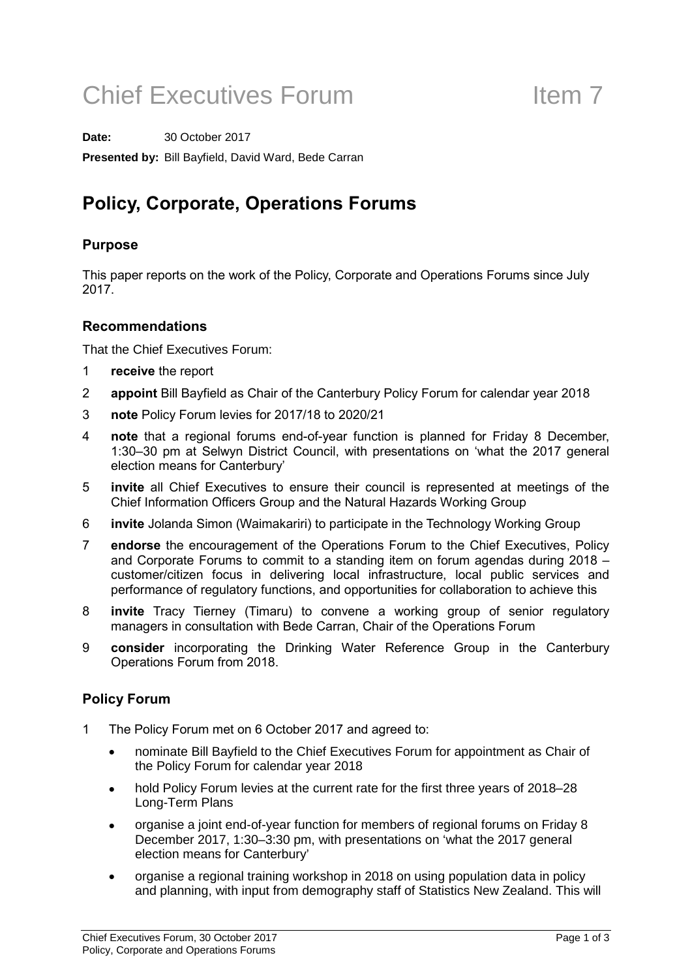# Chief Executives Forum Item 7

**Date:** 30 October 2017 **Presented by:** Bill Bayfield, David Ward, Bede Carran

### Policy, Corporate, Operations Forums

### Purpose

This paper reports on the work of the Policy, Corporate and Operations Forums since July 2017.

### Recommendations

That the Chief Executives Forum:

- 1 receive the report
- 2 appoint Bill Bayfield as Chair of the Canterbury Policy Forum for calendar year 2018
- 3 note Policy Forum levies for 2017/18 to 2020/21
- 4 note that a regional forums end-of-year function is planned for Friday 8 December, 1:30–30 pm at Selwyn District Council, with presentations on 'what the 2017 general election means for Canterbury'
- 5 invite all Chief Executives to ensure their council is represented at meetings of the Chief Information Officers Group and the Natural Hazards Working Group
- 6 invite Jolanda Simon (Waimakariri) to participate in the Technology Working Group
- 7 endorse the encouragement of the Operations Forum to the Chief Executives, Policy and Corporate Forums to commit to a standing item on forum agendas during 2018 – customer/citizen focus in delivering local infrastructure, local public services and performance of regulatory functions, and opportunities for collaboration to achieve this
- 8 invite Tracy Tierney (Timaru) to convene a working group of senior regulatory managers in consultation with Bede Carran, Chair of the Operations Forum
- 9 **consider** incorporating the Drinking Water Reference Group in the Canterbury Operations Forum from 2018.

### Policy Forum

- 1 The Policy Forum met on 6 October 2017 and agreed to:
	- nominate Bill Bayfield to the Chief Executives Forum for appointment as Chair of the Policy Forum for calendar year 2018
	- hold Policy Forum levies at the current rate for the first three years of 2018–28 Long-Term Plans
	- organise a joint end-of-year function for members of regional forums on Friday 8 December 2017, 1:30–3:30 pm, with presentations on 'what the 2017 general election means for Canterbury'
	- organise a regional training workshop in 2018 on using population data in policy and planning, with input from demography staff of Statistics New Zealand. This will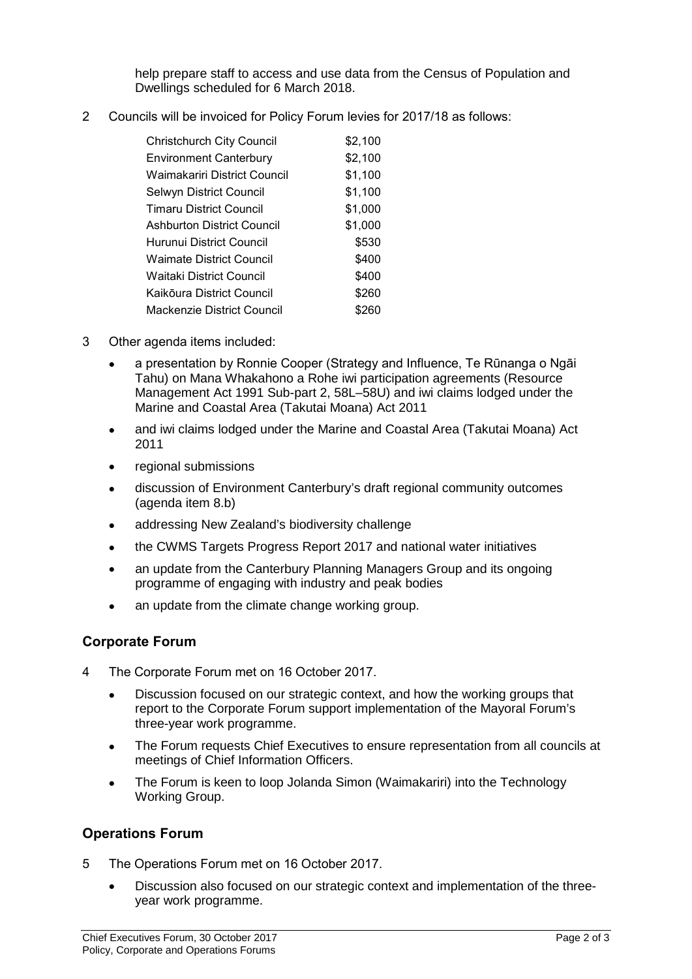help prepare staff to access and use data from the Census of Population and Dwellings scheduled for 6 March 2018.

2 Councils will be invoiced for Policy Forum levies for 2017/18 as follows:

| <b>Christchurch City Council</b>  | \$2,100 |
|-----------------------------------|---------|
| <b>Environment Canterbury</b>     | \$2,100 |
| Waimakariri District Council      | \$1,100 |
| Selwyn District Council           | \$1,100 |
| <b>Timaru District Council</b>    | \$1,000 |
| <b>Ashburton District Council</b> | \$1,000 |
| Hurunui District Council          | \$530   |
| <b>Waimate District Council</b>   | \$400   |
| Waitaki District Council          | \$400   |
| Kaikōura District Council         | \$260   |
| Mackenzie District Council        |         |

- 3 Other agenda items included:
	- a presentation by Ronnie Cooper (Strategy and Influence, Te Rūnanga o Ngāi Tahu) on Mana Whakahono a Rohe iwi participation agreements (Resource Management Act 1991 Sub-part 2, 58L–58U) and iwi claims lodged under the Marine and Coastal Area (Takutai Moana) Act 2011
	- and iwi claims lodged under the Marine and Coastal Area (Takutai Moana) Act 2011
	- regional submissions
	- discussion of Environment Canterbury's draft regional community outcomes (agenda item 8.b)
	- addressing New Zealand's biodiversity challenge
	- the CWMS Targets Progress Report 2017 and national water initiatives
	- an update from the Canterbury Planning Managers Group and its ongoing programme of engaging with industry and peak bodies
	- an update from the climate change working group.

### Corporate Forum

- 4 The Corporate Forum met on 16 October 2017.
	- Discussion focused on our strategic context, and how the working groups that report to the Corporate Forum support implementation of the Mayoral Forum's three-year work programme.
	- The Forum requests Chief Executives to ensure representation from all councils at meetings of Chief Information Officers.
	- The Forum is keen to loop Jolanda Simon (Waimakariri) into the Technology Working Group.

### Operations Forum

- 5 The Operations Forum met on 16 October 2017.
	- Discussion also focused on our strategic context and implementation of the threeyear work programme.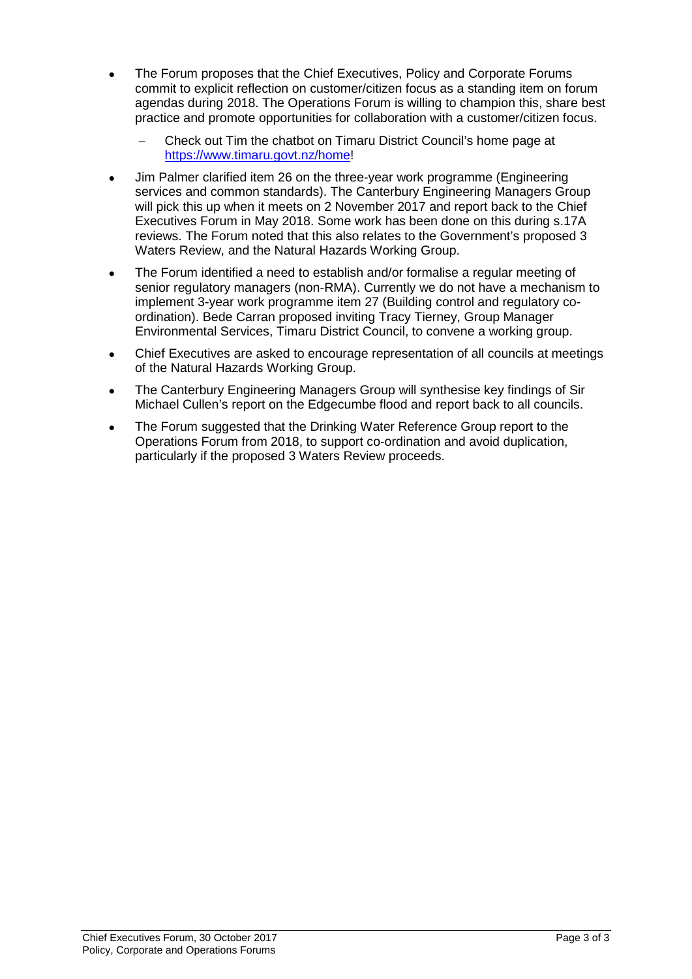- The Forum proposes that the Chief Executives, Policy and Corporate Forums commit to explicit reflection on customer/citizen focus as a standing item on forum agendas during 2018. The Operations Forum is willing to champion this, share best practice and promote opportunities for collaboration with a customer/citizen focus.
	- − Check out Tim the chatbot on Timaru District Council's home page at [https://www.timaru.govt.nz/home!](https://www.timaru.govt.nz/home)
- Jim Palmer clarified item 26 on the three-year work programme (Engineering services and common standards). The Canterbury Engineering Managers Group will pick this up when it meets on 2 November 2017 and report back to the Chief Executives Forum in May 2018. Some work has been done on this during s.17A reviews. The Forum noted that this also relates to the Government's proposed 3 Waters Review, and the Natural Hazards Working Group.
- The Forum identified a need to establish and/or formalise a regular meeting of senior regulatory managers (non-RMA). Currently we do not have a mechanism to implement 3-year work programme item 27 (Building control and regulatory coordination). Bede Carran proposed inviting Tracy Tierney, Group Manager Environmental Services, Timaru District Council, to convene a working group.
- Chief Executives are asked to encourage representation of all councils at meetings of the Natural Hazards Working Group.
- The Canterbury Engineering Managers Group will synthesise key findings of Sir Michael Cullen's report on the Edgecumbe flood and report back to all councils.
- The Forum suggested that the Drinking Water Reference Group report to the Operations Forum from 2018, to support co-ordination and avoid duplication, particularly if the proposed 3 Waters Review proceeds.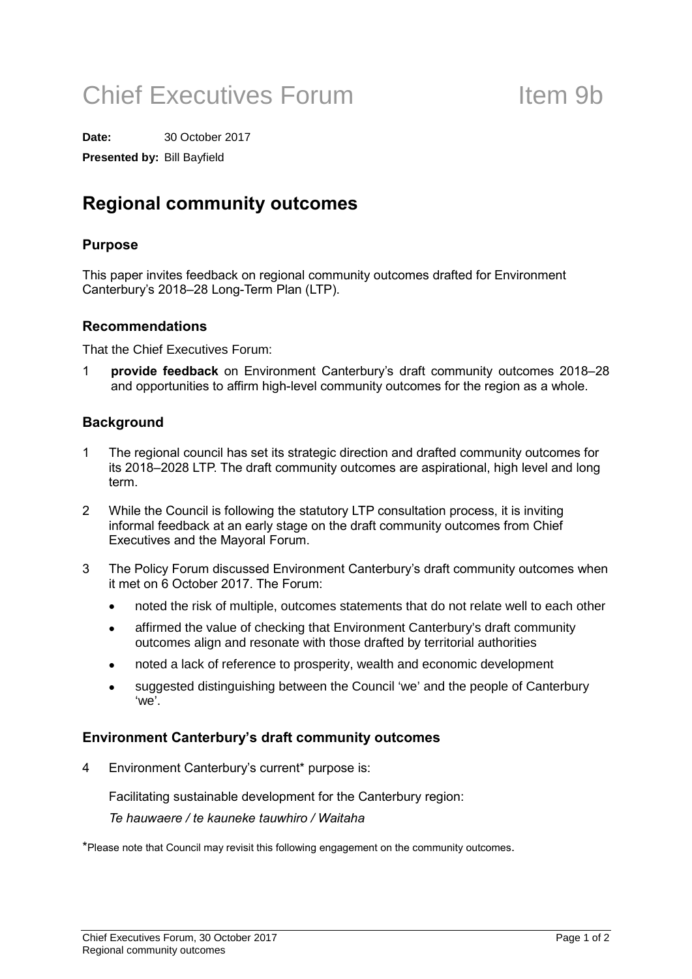# Chief Executives Forum Item 9b

**Date:** 30 October 2017

**Presented by:** Bill Bayfield

### Regional community outcomes

### Purpose

This paper invites feedback on regional community outcomes drafted for Environment Canterbury's 2018–28 Long-Term Plan (LTP).

### Recommendations

That the Chief Executives Forum:

1 provide feedback on Environment Canterbury's draft community outcomes 2018–28 and opportunities to affirm high-level community outcomes for the region as a whole.

### **Background**

- 1 The regional council has set its strategic direction and drafted community outcomes for its 2018–2028 LTP. The draft community outcomes are aspirational, high level and long term.
- 2 While the Council is following the statutory LTP consultation process, it is inviting informal feedback at an early stage on the draft community outcomes from Chief Executives and the Mayoral Forum.
- 3 The Policy Forum discussed Environment Canterbury's draft community outcomes when it met on 6 October 2017. The Forum:
	- noted the risk of multiple, outcomes statements that do not relate well to each other
	- affirmed the value of checking that Environment Canterbury's draft community outcomes align and resonate with those drafted by territorial authorities
	- noted a lack of reference to prosperity, wealth and economic development
	- suggested distinguishing between the Council 'we' and the people of Canterbury 'we'.

### Environment Canterbury's draft community outcomes

4 Environment Canterbury's current\* purpose is:

Facilitating sustainable development for the Canterbury region:

Te hauwaere / te kauneke tauwhiro / Waitaha

\*Please note that Council may revisit this following engagement on the community outcomes.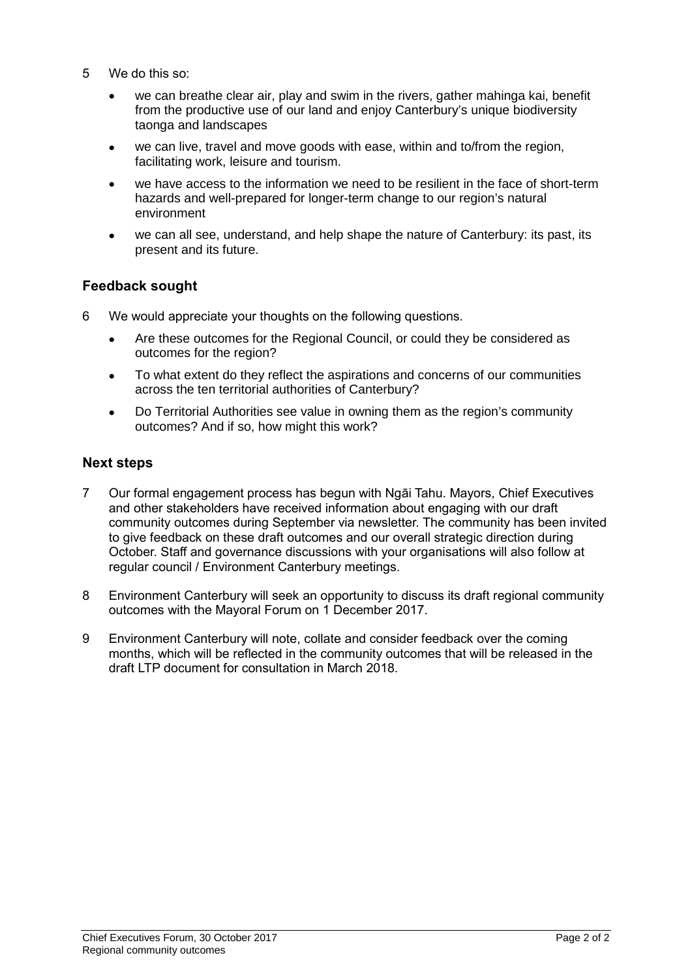- 5 We do this so:
	- we can breathe clear air, play and swim in the rivers, gather mahinga kai, benefit from the productive use of our land and enjoy Canterbury's unique biodiversity taonga and landscapes
	- we can live, travel and move goods with ease, within and to/from the region, facilitating work, leisure and tourism.
	- we have access to the information we need to be resilient in the face of short-term hazards and well-prepared for longer-term change to our region's natural environment
	- we can all see, understand, and help shape the nature of Canterbury: its past, its present and its future.

### Feedback sought

- 6 We would appreciate your thoughts on the following questions.
	- Are these outcomes for the Regional Council, or could they be considered as outcomes for the region?
	- To what extent do they reflect the aspirations and concerns of our communities across the ten territorial authorities of Canterbury?
	- Do Territorial Authorities see value in owning them as the region's community outcomes? And if so, how might this work?

### Next steps

- 7 Our formal engagement process has begun with Ngāi Tahu. Mayors, Chief Executives and other stakeholders have received information about engaging with our draft community outcomes during September via newsletter. The community has been invited to give feedback on these draft outcomes and our overall strategic direction during October. Staff and governance discussions with your organisations will also follow at regular council / Environment Canterbury meetings.
- 8 Environment Canterbury will seek an opportunity to discuss its draft regional community outcomes with the Mayoral Forum on 1 December 2017.
- 9 Environment Canterbury will note, collate and consider feedback over the coming months, which will be reflected in the community outcomes that will be released in the draft LTP document for consultation in March 2018.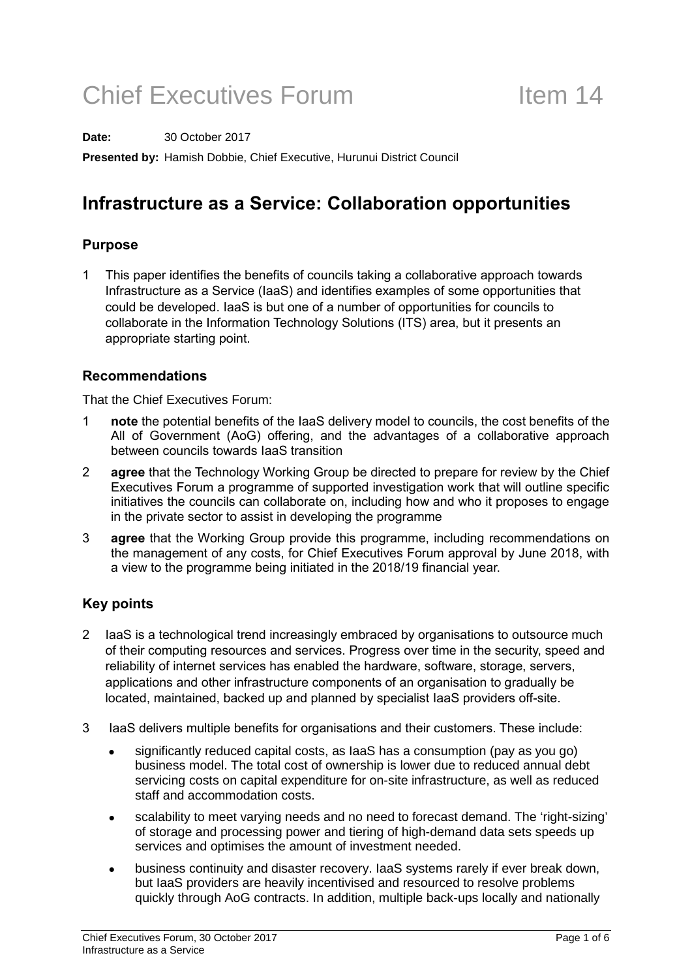# Chief Executives Forum Item 14

**Date:** 30 October 2017

**Presented by:** Hamish Dobbie, Chief Executive, Hurunui District Council

### Infrastructure as a Service: Collaboration opportunities

### Purpose

1 This paper identifies the benefits of councils taking a collaborative approach towards Infrastructure as a Service (IaaS) and identifies examples of some opportunities that could be developed. IaaS is but one of a number of opportunities for councils to collaborate in the Information Technology Solutions (ITS) area, but it presents an appropriate starting point.

### Recommendations

That the Chief Executives Forum:

- 1 note the potential benefits of the IaaS delivery model to councils, the cost benefits of the All of Government (AoG) offering, and the advantages of a collaborative approach between councils towards IaaS transition
- 2 agree that the Technology Working Group be directed to prepare for review by the Chief Executives Forum a programme of supported investigation work that will outline specific initiatives the councils can collaborate on, including how and who it proposes to engage in the private sector to assist in developing the programme
- 3 agree that the Working Group provide this programme, including recommendations on the management of any costs, for Chief Executives Forum approval by June 2018, with a view to the programme being initiated in the 2018/19 financial year.

### Key points

- 2 IaaS is a technological trend increasingly embraced by organisations to outsource much of their computing resources and services. Progress over time in the security, speed and reliability of internet services has enabled the hardware, software, storage, servers, applications and other infrastructure components of an organisation to gradually be located, maintained, backed up and planned by specialist IaaS providers off-site.
- 3 IaaS delivers multiple benefits for organisations and their customers. These include:
	- significantly reduced capital costs, as IaaS has a consumption (pay as you go) business model. The total cost of ownership is lower due to reduced annual debt servicing costs on capital expenditure for on-site infrastructure, as well as reduced staff and accommodation costs.
	- scalability to meet varying needs and no need to forecast demand. The 'right-sizing' of storage and processing power and tiering of high-demand data sets speeds up services and optimises the amount of investment needed.
	- business continuity and disaster recovery. IaaS systems rarely if ever break down, but IaaS providers are heavily incentivised and resourced to resolve problems quickly through AoG contracts. In addition, multiple back-ups locally and nationally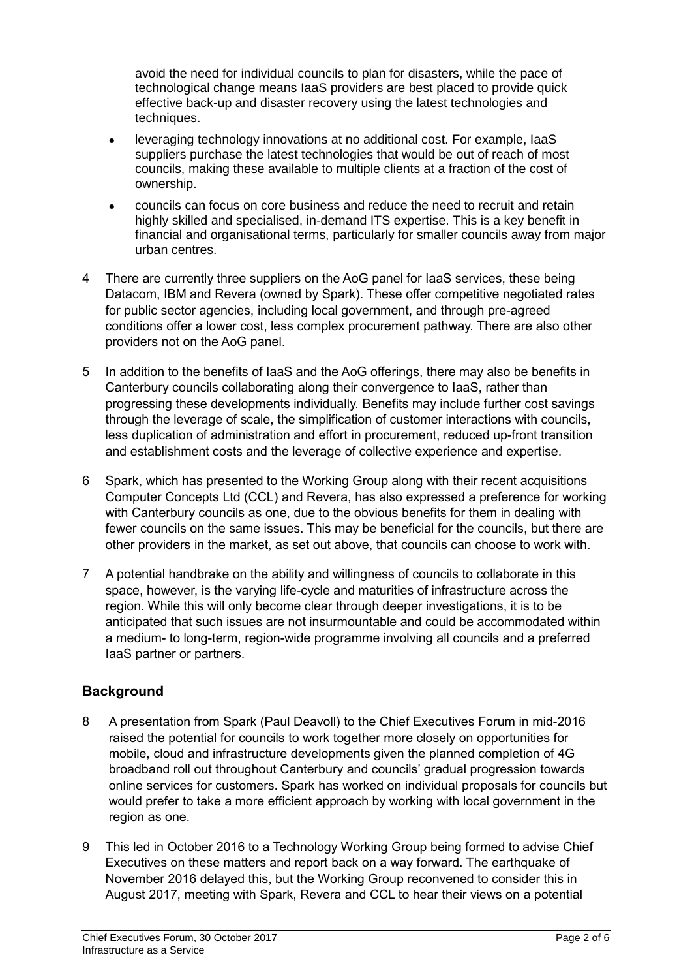avoid the need for individual councils to plan for disasters, while the pace of technological change means IaaS providers are best placed to provide quick effective back-up and disaster recovery using the latest technologies and techniques.

- leveraging technology innovations at no additional cost. For example, IaaS suppliers purchase the latest technologies that would be out of reach of most councils, making these available to multiple clients at a fraction of the cost of ownership.
- councils can focus on core business and reduce the need to recruit and retain highly skilled and specialised, in-demand ITS expertise. This is a key benefit in financial and organisational terms, particularly for smaller councils away from major urban centres.
- 4 There are currently three suppliers on the AoG panel for IaaS services, these being Datacom, IBM and Revera (owned by Spark). These offer competitive negotiated rates for public sector agencies, including local government, and through pre-agreed conditions offer a lower cost, less complex procurement pathway. There are also other providers not on the AoG panel.
- 5 In addition to the benefits of IaaS and the AoG offerings, there may also be benefits in Canterbury councils collaborating along their convergence to IaaS, rather than progressing these developments individually. Benefits may include further cost savings through the leverage of scale, the simplification of customer interactions with councils, less duplication of administration and effort in procurement, reduced up-front transition and establishment costs and the leverage of collective experience and expertise.
- 6 Spark, which has presented to the Working Group along with their recent acquisitions Computer Concepts Ltd (CCL) and Revera, has also expressed a preference for working with Canterbury councils as one, due to the obvious benefits for them in dealing with fewer councils on the same issues. This may be beneficial for the councils, but there are other providers in the market, as set out above, that councils can choose to work with.
- 7 A potential handbrake on the ability and willingness of councils to collaborate in this space, however, is the varying life-cycle and maturities of infrastructure across the region. While this will only become clear through deeper investigations, it is to be anticipated that such issues are not insurmountable and could be accommodated within a medium- to long-term, region-wide programme involving all councils and a preferred IaaS partner or partners.

### **Background**

- 8 A presentation from Spark (Paul Deavoll) to the Chief Executives Forum in mid-2016 raised the potential for councils to work together more closely on opportunities for mobile, cloud and infrastructure developments given the planned completion of 4G broadband roll out throughout Canterbury and councils' gradual progression towards online services for customers. Spark has worked on individual proposals for councils but would prefer to take a more efficient approach by working with local government in the region as one.
- 9 This led in October 2016 to a Technology Working Group being formed to advise Chief Executives on these matters and report back on a way forward. The earthquake of November 2016 delayed this, but the Working Group reconvened to consider this in August 2017, meeting with Spark, Revera and CCL to hear their views on a potential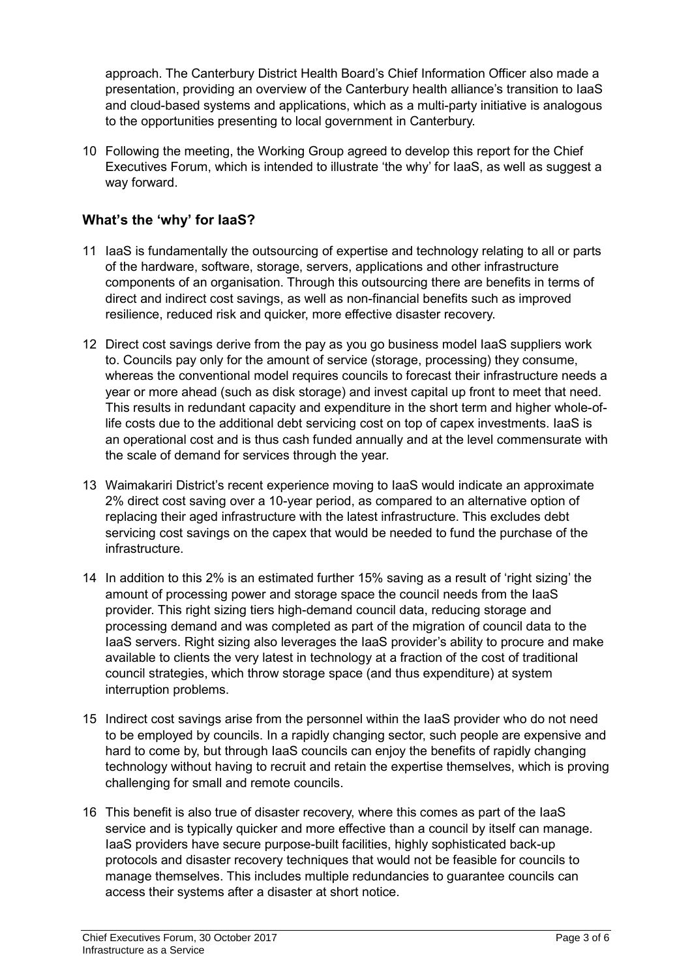approach. The Canterbury District Health Board's Chief Information Officer also made a presentation, providing an overview of the Canterbury health alliance's transition to IaaS and cloud-based systems and applications, which as a multi-party initiative is analogous to the opportunities presenting to local government in Canterbury.

10 Following the meeting, the Working Group agreed to develop this report for the Chief Executives Forum, which is intended to illustrate 'the why' for IaaS, as well as suggest a way forward.

### What's the 'why' for IaaS?

- 11 IaaS is fundamentally the outsourcing of expertise and technology relating to all or parts of the hardware, software, storage, servers, applications and other infrastructure components of an organisation. Through this outsourcing there are benefits in terms of direct and indirect cost savings, as well as non-financial benefits such as improved resilience, reduced risk and quicker, more effective disaster recovery.
- 12 Direct cost savings derive from the pay as you go business model IaaS suppliers work to. Councils pay only for the amount of service (storage, processing) they consume, whereas the conventional model requires councils to forecast their infrastructure needs a year or more ahead (such as disk storage) and invest capital up front to meet that need. This results in redundant capacity and expenditure in the short term and higher whole-oflife costs due to the additional debt servicing cost on top of capex investments. IaaS is an operational cost and is thus cash funded annually and at the level commensurate with the scale of demand for services through the year.
- 13 Waimakariri District's recent experience moving to IaaS would indicate an approximate 2% direct cost saving over a 10-year period, as compared to an alternative option of replacing their aged infrastructure with the latest infrastructure. This excludes debt servicing cost savings on the capex that would be needed to fund the purchase of the infrastructure.
- 14 In addition to this 2% is an estimated further 15% saving as a result of 'right sizing' the amount of processing power and storage space the council needs from the IaaS provider. This right sizing tiers high-demand council data, reducing storage and processing demand and was completed as part of the migration of council data to the IaaS servers. Right sizing also leverages the IaaS provider's ability to procure and make available to clients the very latest in technology at a fraction of the cost of traditional council strategies, which throw storage space (and thus expenditure) at system interruption problems.
- 15 Indirect cost savings arise from the personnel within the IaaS provider who do not need to be employed by councils. In a rapidly changing sector, such people are expensive and hard to come by, but through IaaS councils can enjoy the benefits of rapidly changing technology without having to recruit and retain the expertise themselves, which is proving challenging for small and remote councils.
- 16 This benefit is also true of disaster recovery, where this comes as part of the IaaS service and is typically quicker and more effective than a council by itself can manage. IaaS providers have secure purpose-built facilities, highly sophisticated back-up protocols and disaster recovery techniques that would not be feasible for councils to manage themselves. This includes multiple redundancies to guarantee councils can access their systems after a disaster at short notice.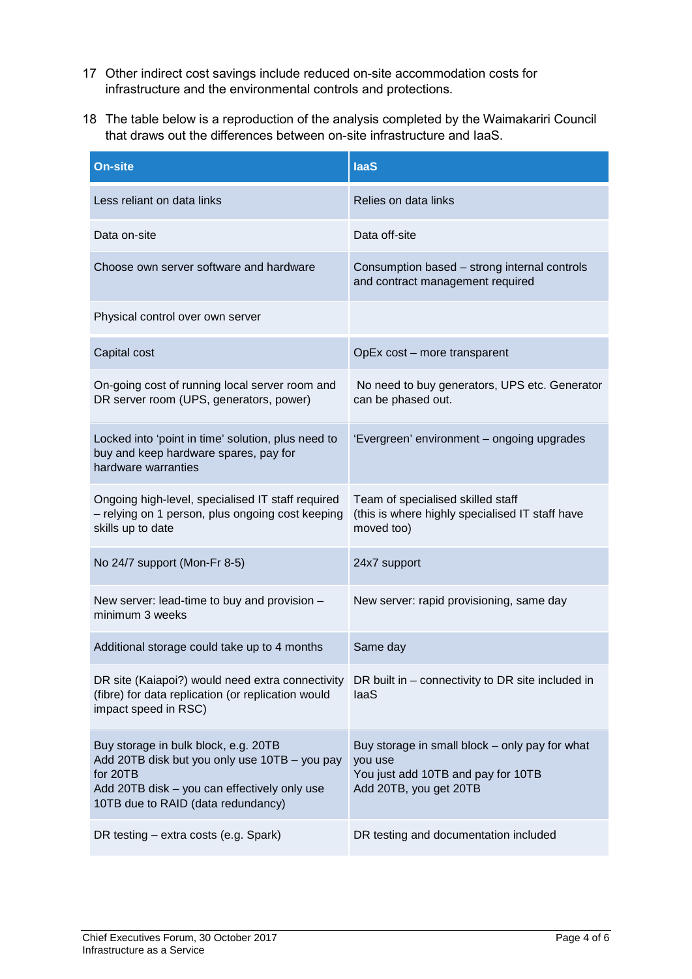- 17 Other indirect cost savings include reduced on-site accommodation costs for infrastructure and the environmental controls and protections.
- 18 The table below is a reproduction of the analysis completed by the Waimakariri Council that draws out the differences between on-site infrastructure and IaaS.

| On-site                                                                                                                                                                                 | <b>laaS</b>                                                                                                               |
|-----------------------------------------------------------------------------------------------------------------------------------------------------------------------------------------|---------------------------------------------------------------------------------------------------------------------------|
| Less reliant on data links                                                                                                                                                              | Relies on data links                                                                                                      |
| Data on-site                                                                                                                                                                            | Data off-site                                                                                                             |
| Choose own server software and hardware                                                                                                                                                 | Consumption based - strong internal controls<br>and contract management required                                          |
| Physical control over own server                                                                                                                                                        |                                                                                                                           |
| Capital cost                                                                                                                                                                            | OpEx cost - more transparent                                                                                              |
| On-going cost of running local server room and<br>DR server room (UPS, generators, power)                                                                                               | No need to buy generators, UPS etc. Generator<br>can be phased out.                                                       |
| Locked into 'point in time' solution, plus need to<br>buy and keep hardware spares, pay for<br>hardware warranties                                                                      | 'Evergreen' environment - ongoing upgrades                                                                                |
| Ongoing high-level, specialised IT staff required<br>- relying on 1 person, plus ongoing cost keeping<br>skills up to date                                                              | Team of specialised skilled staff<br>(this is where highly specialised IT staff have<br>moved too)                        |
| No 24/7 support (Mon-Fr 8-5)                                                                                                                                                            | 24x7 support                                                                                                              |
| New server: lead-time to buy and provision -<br>minimum 3 weeks                                                                                                                         | New server: rapid provisioning, same day                                                                                  |
| Additional storage could take up to 4 months                                                                                                                                            | Same day                                                                                                                  |
| DR site (Kaiapoi?) would need extra connectivity<br>(fibre) for data replication (or replication would<br>impact speed in RSC)                                                          | DR built in – connectivity to DR site included in<br>laaS                                                                 |
| Buy storage in bulk block, e.g. 20TB<br>Add 20TB disk but you only use 10TB - you pay<br>for 20TB<br>Add 20TB disk - you can effectively only use<br>10TB due to RAID (data redundancy) | Buy storage in small block - only pay for what<br>you use<br>You just add 10TB and pay for 10TB<br>Add 20TB, you get 20TB |
| DR testing – extra costs (e.g. Spark)                                                                                                                                                   | DR testing and documentation included                                                                                     |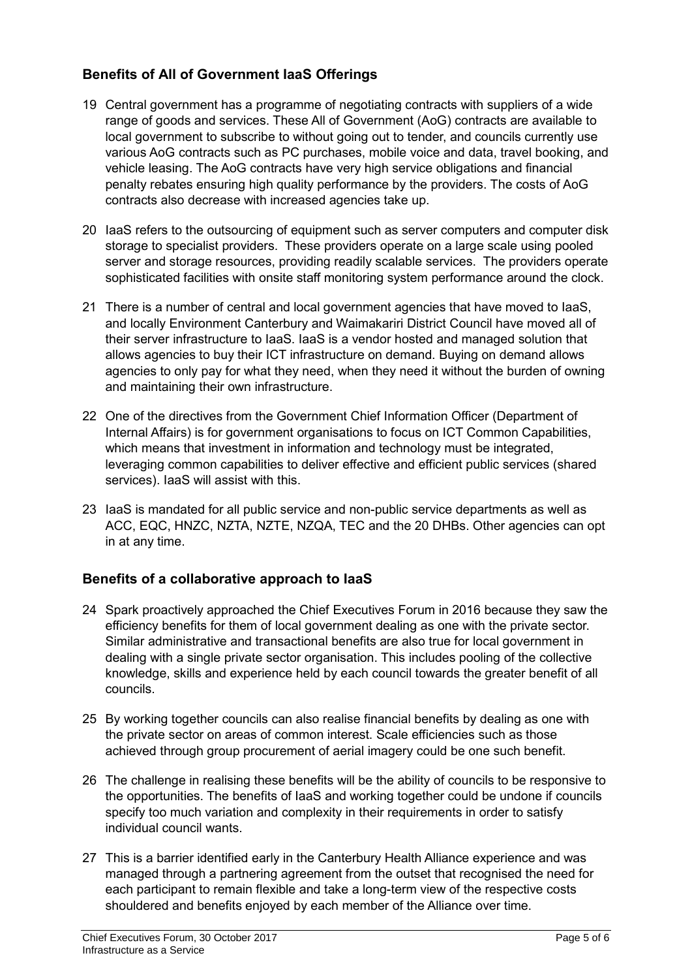### Benefits of All of Government IaaS Offerings

- 19 Central government has a programme of negotiating contracts with suppliers of a wide range of goods and services. These All of Government (AoG) contracts are available to local government to subscribe to without going out to tender, and councils currently use various AoG contracts such as PC purchases, mobile voice and data, travel booking, and vehicle leasing. The AoG contracts have very high service obligations and financial penalty rebates ensuring high quality performance by the providers. The costs of AoG contracts also decrease with increased agencies take up.
- 20 IaaS refers to the outsourcing of equipment such as server computers and computer disk storage to specialist providers. These providers operate on a large scale using pooled server and storage resources, providing readily scalable services. The providers operate sophisticated facilities with onsite staff monitoring system performance around the clock.
- 21 There is a number of central and local government agencies that have moved to IaaS, and locally Environment Canterbury and Waimakariri District Council have moved all of their server infrastructure to IaaS. IaaS is a vendor hosted and managed solution that allows agencies to buy their ICT infrastructure on demand. Buying on demand allows agencies to only pay for what they need, when they need it without the burden of owning and maintaining their own infrastructure.
- 22 One of the directives from the Government Chief Information Officer (Department of Internal Affairs) is for government organisations to focus on ICT Common Capabilities, which means that investment in information and technology must be integrated, leveraging common capabilities to deliver effective and efficient public services (shared services). IaaS will assist with this.
- 23 IaaS is mandated for all public service and non-public service departments as well as ACC, EQC, HNZC, NZTA, NZTE, NZQA, TEC and the 20 DHBs. Other agencies can opt in at any time.

### Benefits of a collaborative approach to IaaS

- 24 Spark proactively approached the Chief Executives Forum in 2016 because they saw the efficiency benefits for them of local government dealing as one with the private sector. Similar administrative and transactional benefits are also true for local government in dealing with a single private sector organisation. This includes pooling of the collective knowledge, skills and experience held by each council towards the greater benefit of all councils.
- 25 By working together councils can also realise financial benefits by dealing as one with the private sector on areas of common interest. Scale efficiencies such as those achieved through group procurement of aerial imagery could be one such benefit.
- 26 The challenge in realising these benefits will be the ability of councils to be responsive to the opportunities. The benefits of IaaS and working together could be undone if councils specify too much variation and complexity in their requirements in order to satisfy individual council wants.
- 27 This is a barrier identified early in the Canterbury Health Alliance experience and was managed through a partnering agreement from the outset that recognised the need for each participant to remain flexible and take a long-term view of the respective costs shouldered and benefits enjoyed by each member of the Alliance over time.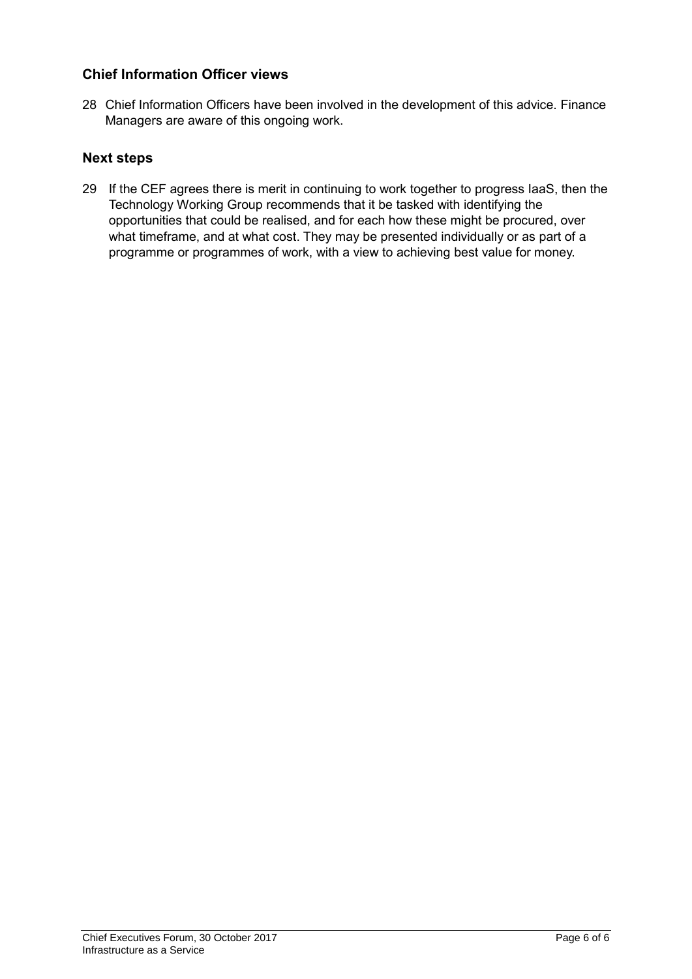### Chief Information Officer views

28 Chief Information Officers have been involved in the development of this advice. Finance Managers are aware of this ongoing work.

### Next steps

29 If the CEF agrees there is merit in continuing to work together to progress IaaS, then the Technology Working Group recommends that it be tasked with identifying the opportunities that could be realised, and for each how these might be procured, over what timeframe, and at what cost. They may be presented individually or as part of a programme or programmes of work, with a view to achieving best value for money.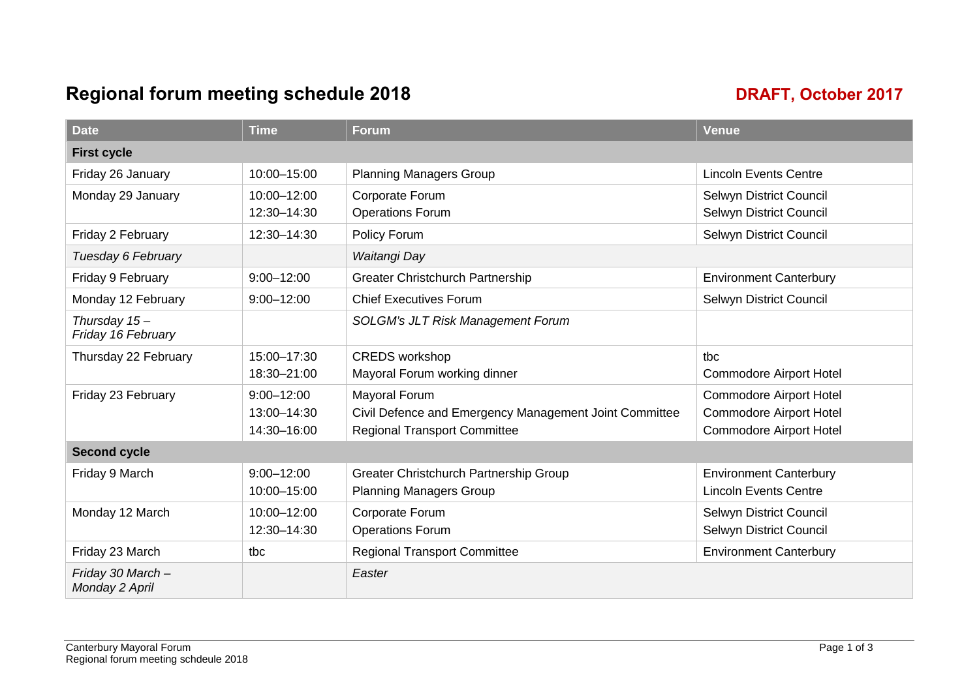### Regional forum meeting schedule 2018 **DRAFT**, October 2017

| <b>Date</b>                          | <b>Time</b>    | <b>Forum</b>                                           | <b>Venue</b>                   |  |
|--------------------------------------|----------------|--------------------------------------------------------|--------------------------------|--|
| <b>First cycle</b>                   |                |                                                        |                                |  |
| Friday 26 January                    | 10:00-15:00    | <b>Planning Managers Group</b>                         | <b>Lincoln Events Centre</b>   |  |
| Monday 29 January                    | 10:00-12:00    | Corporate Forum                                        | Selwyn District Council        |  |
|                                      | 12:30-14:30    | <b>Operations Forum</b>                                | Selwyn District Council        |  |
| Friday 2 February                    | 12:30-14:30    | Policy Forum                                           | Selwyn District Council        |  |
| Tuesday 6 February                   |                | Waitangi Day                                           |                                |  |
| Friday 9 February                    | $9:00 - 12:00$ | <b>Greater Christchurch Partnership</b>                | <b>Environment Canterbury</b>  |  |
| Monday 12 February                   | $9:00 - 12:00$ | <b>Chief Executives Forum</b>                          | Selwyn District Council        |  |
| Thursday $15-$<br>Friday 16 February |                | <b>SOLGM's JLT Risk Management Forum</b>               |                                |  |
| Thursday 22 February                 | 15:00-17:30    | <b>CREDS</b> workshop                                  | tbc                            |  |
|                                      | 18:30-21:00    | Mayoral Forum working dinner                           | <b>Commodore Airport Hotel</b> |  |
| Friday 23 February                   | $9:00 - 12:00$ | <b>Mayoral Forum</b>                                   | <b>Commodore Airport Hotel</b> |  |
|                                      | 13:00-14:30    | Civil Defence and Emergency Management Joint Committee | <b>Commodore Airport Hotel</b> |  |
|                                      | 14:30-16:00    | <b>Regional Transport Committee</b>                    | <b>Commodore Airport Hotel</b> |  |
| <b>Second cycle</b>                  |                |                                                        |                                |  |
| Friday 9 March                       | $9:00 - 12:00$ | Greater Christchurch Partnership Group                 | <b>Environment Canterbury</b>  |  |
|                                      | 10:00-15:00    | <b>Planning Managers Group</b>                         | <b>Lincoln Events Centre</b>   |  |
| Monday 12 March                      | 10:00-12:00    | Corporate Forum                                        | Selwyn District Council        |  |
|                                      | 12:30-14:30    | <b>Operations Forum</b>                                | Selwyn District Council        |  |
| Friday 23 March                      | tbc            | <b>Regional Transport Committee</b>                    | <b>Environment Canterbury</b>  |  |
| Friday 30 March -<br>Monday 2 April  |                | Easter                                                 |                                |  |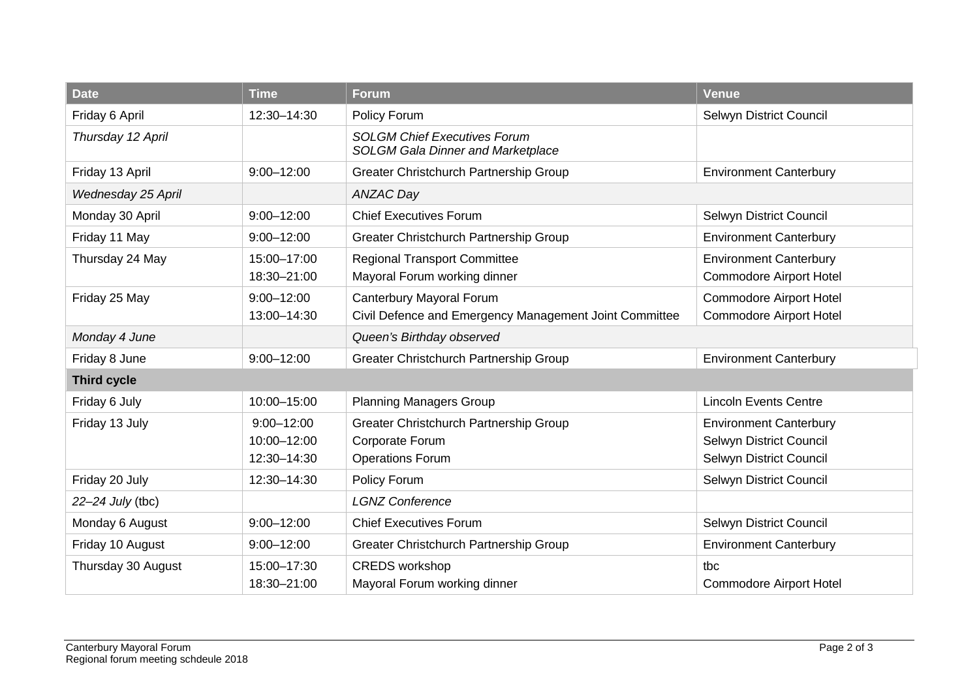| <b>Date</b>        | <b>Time</b>                 | Forum                                                                           | <b>Venue</b>                   |  |
|--------------------|-----------------------------|---------------------------------------------------------------------------------|--------------------------------|--|
| Friday 6 April     | 12:30-14:30<br>Policy Forum |                                                                                 | Selwyn District Council        |  |
| Thursday 12 April  |                             | <b>SOLGM Chief Executives Forum</b><br><b>SOLGM Gala Dinner and Marketplace</b> |                                |  |
| Friday 13 April    | $9:00 - 12:00$              | Greater Christchurch Partnership Group                                          | <b>Environment Canterbury</b>  |  |
| Wednesday 25 April |                             | ANZAC Day                                                                       |                                |  |
| Monday 30 April    | $9:00 - 12:00$              | <b>Chief Executives Forum</b>                                                   | Selwyn District Council        |  |
| Friday 11 May      | $9:00 - 12:00$              | Greater Christchurch Partnership Group                                          | <b>Environment Canterbury</b>  |  |
| Thursday 24 May    | 15:00-17:00                 | <b>Regional Transport Committee</b>                                             | <b>Environment Canterbury</b>  |  |
|                    | 18:30-21:00                 | Mayoral Forum working dinner                                                    | <b>Commodore Airport Hotel</b> |  |
| Friday 25 May      | $9:00 - 12:00$              | Canterbury Mayoral Forum                                                        | <b>Commodore Airport Hotel</b> |  |
|                    | 13:00-14:30                 | Civil Defence and Emergency Management Joint Committee                          | <b>Commodore Airport Hotel</b> |  |
| Monday 4 June      |                             | Queen's Birthday observed                                                       |                                |  |
| Friday 8 June      | $9:00 - 12:00$              | Greater Christchurch Partnership Group                                          | <b>Environment Canterbury</b>  |  |
| <b>Third cycle</b> |                             |                                                                                 |                                |  |
| Friday 6 July      | 10:00-15:00                 | <b>Planning Managers Group</b>                                                  | <b>Lincoln Events Centre</b>   |  |
| Friday 13 July     | $9:00 - 12:00$              | Greater Christchurch Partnership Group                                          | <b>Environment Canterbury</b>  |  |
|                    | 10:00-12:00                 | Corporate Forum                                                                 | Selwyn District Council        |  |
|                    | 12:30-14:30                 | <b>Operations Forum</b>                                                         | Selwyn District Council        |  |
| Friday 20 July     | 12:30-14:30                 | Policy Forum                                                                    | Selwyn District Council        |  |
| 22-24 July (tbc)   |                             | <b>LGNZ Conference</b>                                                          |                                |  |
| Monday 6 August    | $9:00 - 12:00$              | <b>Chief Executives Forum</b>                                                   | Selwyn District Council        |  |
| Friday 10 August   | $9:00 - 12:00$              | Greater Christchurch Partnership Group                                          | <b>Environment Canterbury</b>  |  |
| Thursday 30 August | 15:00-17:30                 | <b>CREDS</b> workshop                                                           | tbc                            |  |
|                    | 18:30-21:00                 | Mayoral Forum working dinner                                                    | <b>Commodore Airport Hotel</b> |  |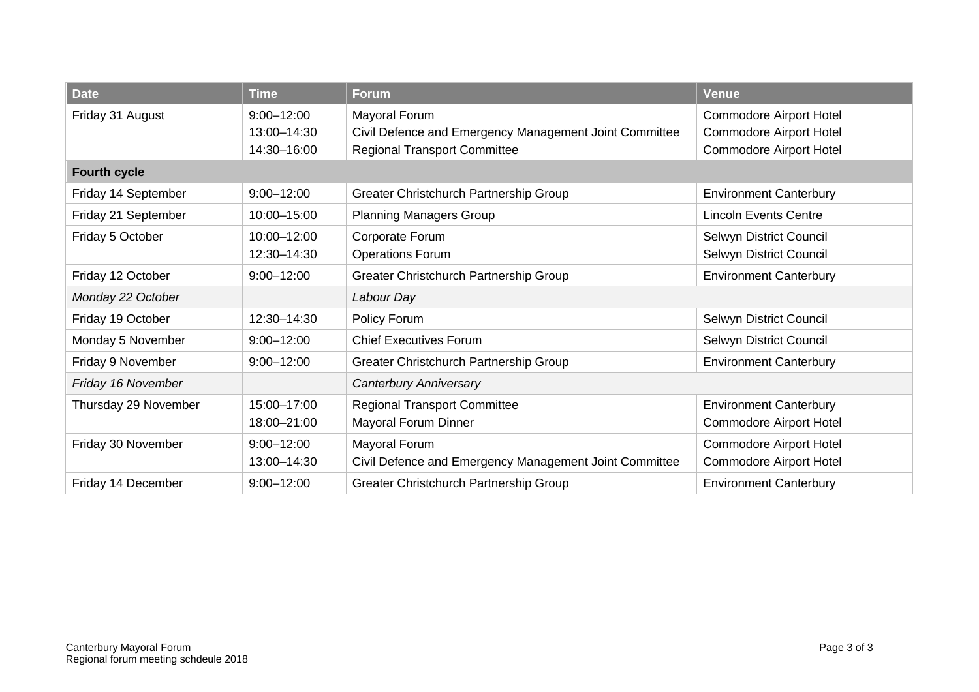| <b>Date</b>                         | <b>Time</b>                                  | <b>Forum</b>                                                                                                                                                                                                  | <b>Venue</b>                                                     |  |
|-------------------------------------|----------------------------------------------|---------------------------------------------------------------------------------------------------------------------------------------------------------------------------------------------------------------|------------------------------------------------------------------|--|
| Friday 31 August                    | $9:00 - 12:00$<br>13:00-14:30<br>14:30-16:00 | Mayoral Forum<br><b>Commodore Airport Hotel</b><br>Civil Defence and Emergency Management Joint Committee<br>Commodore Airport Hotel<br><b>Regional Transport Committee</b><br><b>Commodore Airport Hotel</b> |                                                                  |  |
| <b>Fourth cycle</b>                 |                                              |                                                                                                                                                                                                               |                                                                  |  |
| Friday 14 September                 | $9:00 - 12:00$                               | Greater Christchurch Partnership Group                                                                                                                                                                        | <b>Environment Canterbury</b>                                    |  |
| Friday 21 September                 | 10:00-15:00                                  | <b>Planning Managers Group</b>                                                                                                                                                                                | <b>Lincoln Events Centre</b>                                     |  |
| Friday 5 October                    | 10:00-12:00<br>12:30-14:30                   | Corporate Forum<br><b>Operations Forum</b>                                                                                                                                                                    | Selwyn District Council<br>Selwyn District Council               |  |
| Friday 12 October                   | $9:00 - 12:00$                               | Greater Christchurch Partnership Group                                                                                                                                                                        | <b>Environment Canterbury</b>                                    |  |
| Monday 22 October                   |                                              | Labour Day                                                                                                                                                                                                    |                                                                  |  |
| Friday 19 October                   | 12:30-14:30                                  | Policy Forum                                                                                                                                                                                                  | Selwyn District Council                                          |  |
| Monday 5 November                   | $9:00 - 12:00$                               | <b>Chief Executives Forum</b>                                                                                                                                                                                 | Selwyn District Council                                          |  |
| Friday 9 November<br>$9:00 - 12:00$ |                                              | Greater Christchurch Partnership Group                                                                                                                                                                        | <b>Environment Canterbury</b>                                    |  |
| Friday 16 November                  |                                              | Canterbury Anniversary                                                                                                                                                                                        |                                                                  |  |
| Thursday 29 November                | 15:00-17:00<br>18:00-21:00                   | <b>Regional Transport Committee</b><br>Mayoral Forum Dinner                                                                                                                                                   | <b>Environment Canterbury</b><br><b>Commodore Airport Hotel</b>  |  |
| Friday 30 November                  | $9:00 - 12:00$<br>13:00-14:30                | Mayoral Forum<br>Civil Defence and Emergency Management Joint Committee                                                                                                                                       | <b>Commodore Airport Hotel</b><br><b>Commodore Airport Hotel</b> |  |
| Friday 14 December                  | $9:00 - 12:00$                               | Greater Christchurch Partnership Group                                                                                                                                                                        | <b>Environment Canterbury</b>                                    |  |